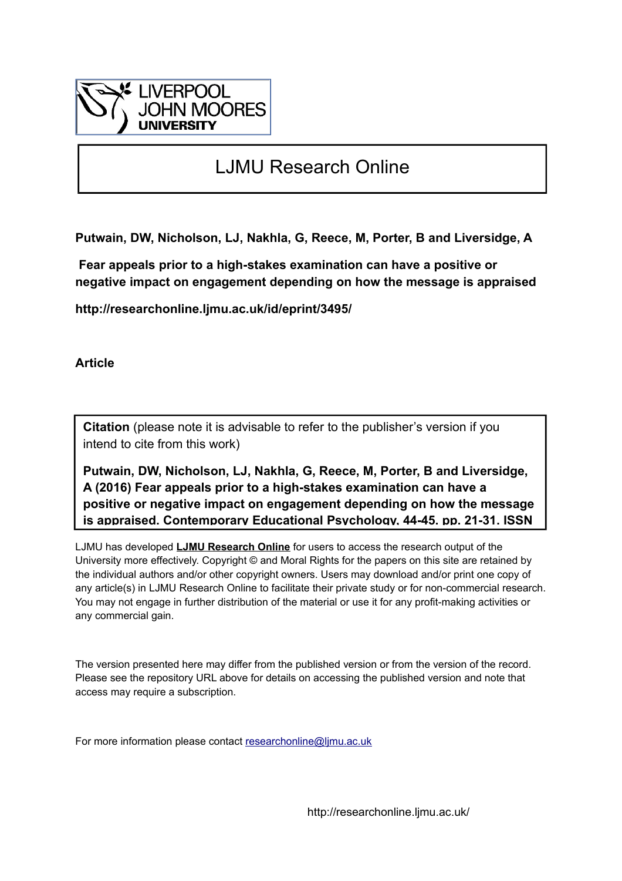

# LJMU Research Online

**Putwain, DW, Nicholson, LJ, Nakhla, G, Reece, M, Porter, B and Liversidge, A**

 **Fear appeals prior to a high-stakes examination can have a positive or negative impact on engagement depending on how the message is appraised**

**http://researchonline.ljmu.ac.uk/id/eprint/3495/**

**Article**

**Citation** (please note it is advisable to refer to the publisher's version if you intend to cite from this work)

**Putwain, DW, Nicholson, LJ, Nakhla, G, Reece, M, Porter, B and Liversidge, A (2016) Fear appeals prior to a high-stakes examination can have a positive or negative impact on engagement depending on how the message is appraised. Contemporary Educational Psychology, 44-45. pp. 21-31. ISSN** 

LJMU has developed **[LJMU Research Online](http://researchonline.ljmu.ac.uk/)** for users to access the research output of the University more effectively. Copyright © and Moral Rights for the papers on this site are retained by the individual authors and/or other copyright owners. Users may download and/or print one copy of any article(s) in LJMU Research Online to facilitate their private study or for non-commercial research. You may not engage in further distribution of the material or use it for any profit-making activities or any commercial gain.

The version presented here may differ from the published version or from the version of the record. Please see the repository URL above for details on accessing the published version and note that access may require a subscription.

For more information please contact [researchonline@ljmu.ac.uk](mailto:researchonline@ljmu.ac.uk)

http://researchonline.ljmu.ac.uk/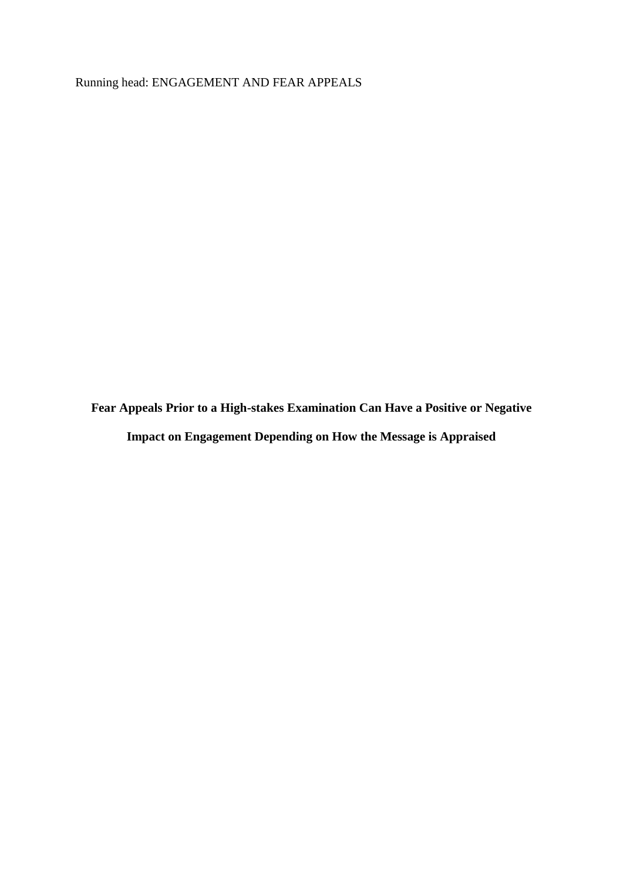Running head: ENGAGEMENT AND FEAR APPEALS

**Fear Appeals Prior to a High-stakes Examination Can Have a Positive or Negative Impact on Engagement Depending on How the Message is Appraised**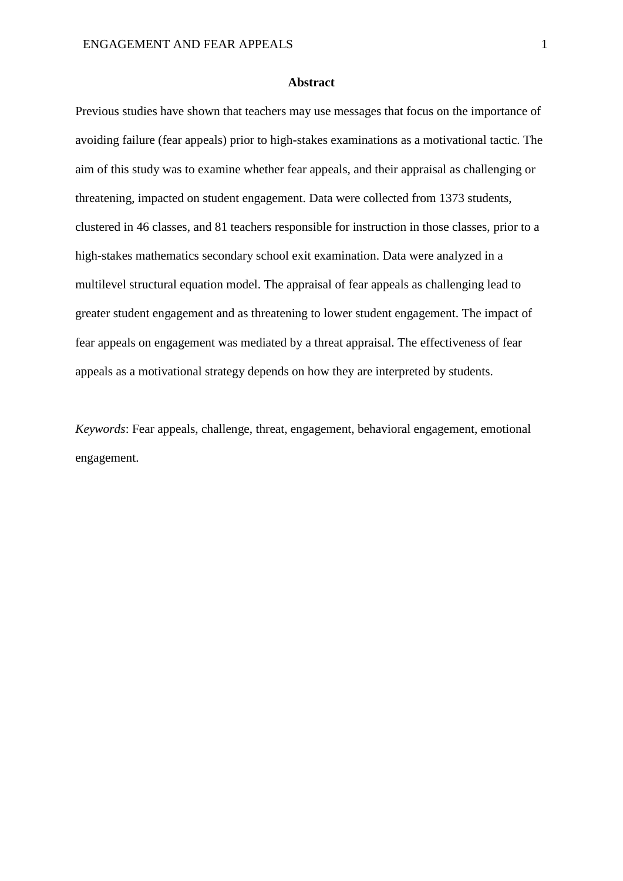#### **Abstract**

Previous studies have shown that teachers may use messages that focus on the importance of avoiding failure (fear appeals) prior to high-stakes examinations as a motivational tactic. The aim of this study was to examine whether fear appeals, and their appraisal as challenging or threatening, impacted on student engagement. Data were collected from 1373 students, clustered in 46 classes, and 81 teachers responsible for instruction in those classes, prior to a high-stakes mathematics secondary school exit examination. Data were analyzed in a multilevel structural equation model. The appraisal of fear appeals as challenging lead to greater student engagement and as threatening to lower student engagement. The impact of fear appeals on engagement was mediated by a threat appraisal. The effectiveness of fear appeals as a motivational strategy depends on how they are interpreted by students.

*Keywords*: Fear appeals, challenge, threat, engagement, behavioral engagement, emotional engagement.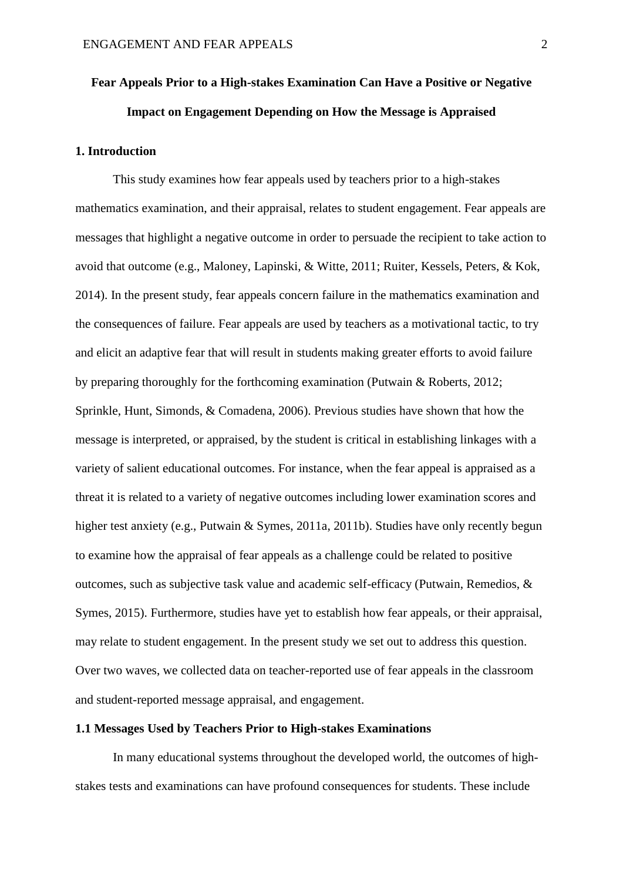# **Fear Appeals Prior to a High-stakes Examination Can Have a Positive or Negative Impact on Engagement Depending on How the Message is Appraised**

# **1. Introduction**

This study examines how fear appeals used by teachers prior to a high-stakes mathematics examination, and their appraisal, relates to student engagement. Fear appeals are messages that highlight a negative outcome in order to persuade the recipient to take action to avoid that outcome (e.g., Maloney, Lapinski, & Witte, 2011; Ruiter, Kessels, Peters, & Kok, 2014). In the present study, fear appeals concern failure in the mathematics examination and the consequences of failure. Fear appeals are used by teachers as a motivational tactic, to try and elicit an adaptive fear that will result in students making greater efforts to avoid failure by preparing thoroughly for the forthcoming examination (Putwain & Roberts, 2012; Sprinkle, Hunt, Simonds, & Comadena, 2006). Previous studies have shown that how the message is interpreted, or appraised, by the student is critical in establishing linkages with a variety of salient educational outcomes. For instance, when the fear appeal is appraised as a threat it is related to a variety of negative outcomes including lower examination scores and higher test anxiety (e.g., Putwain & Symes, 2011a, 2011b). Studies have only recently begun to examine how the appraisal of fear appeals as a challenge could be related to positive outcomes, such as subjective task value and academic self-efficacy (Putwain, Remedios, & Symes, 2015). Furthermore, studies have yet to establish how fear appeals, or their appraisal. may relate to student engagement. In the present study we set out to address this question. Over two waves, we collected data on teacher-reported use of fear appeals in the classroom and student-reported message appraisal, and engagement.

# **1.1 Messages Used by Teachers Prior to High-stakes Examinations**

In many educational systems throughout the developed world, the outcomes of highstakes tests and examinations can have profound consequences for students. These include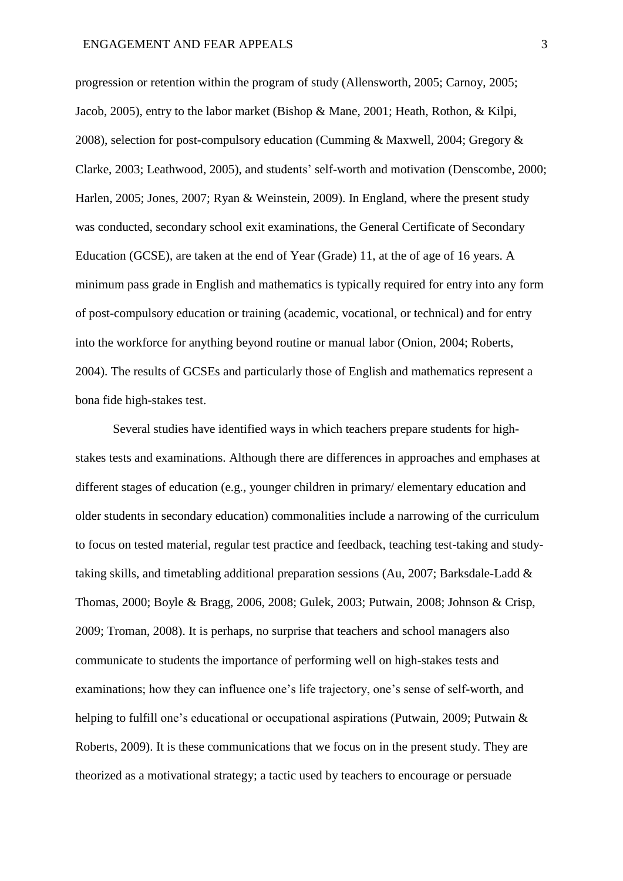progression or retention within the program of study (Allensworth, 2005; Carnoy, 2005; Jacob, 2005), entry to the labor market (Bishop & Mane, 2001; Heath, Rothon, & Kilpi, 2008), selection for post-compulsory education (Cumming & Maxwell, 2004; Gregory & Clarke, 2003; Leathwood, 2005), and students' self-worth and motivation (Denscombe, 2000; Harlen, 2005; Jones, 2007; Ryan & Weinstein, 2009). In England, where the present study was conducted, secondary school exit examinations, the General Certificate of Secondary Education (GCSE), are taken at the end of Year (Grade) 11, at the of age of 16 years. A minimum pass grade in English and mathematics is typically required for entry into any form of post-compulsory education or training (academic, vocational, or technical) and for entry into the workforce for anything beyond routine or manual labor (Onion, 2004; Roberts, 2004). The results of GCSEs and particularly those of English and mathematics represent a bona fide high-stakes test.

Several studies have identified ways in which teachers prepare students for highstakes tests and examinations. Although there are differences in approaches and emphases at different stages of education (e.g., younger children in primary/ elementary education and older students in secondary education) commonalities include a narrowing of the curriculum to focus on tested material, regular test practice and feedback, teaching test-taking and studytaking skills, and timetabling additional preparation sessions (Au, 2007; Barksdale-Ladd & Thomas, 2000; Boyle & Bragg, 2006, 2008; Gulek, 2003; Putwain, 2008; Johnson & Crisp, 2009; Troman, 2008). It is perhaps, no surprise that teachers and school managers also communicate to students the importance of performing well on high-stakes tests and examinations; how they can influence one's life trajectory, one's sense of self-worth, and helping to fulfill one's educational or occupational aspirations (Putwain, 2009; Putwain & Roberts, 2009). It is these communications that we focus on in the present study. They are theorized as a motivational strategy; a tactic used by teachers to encourage or persuade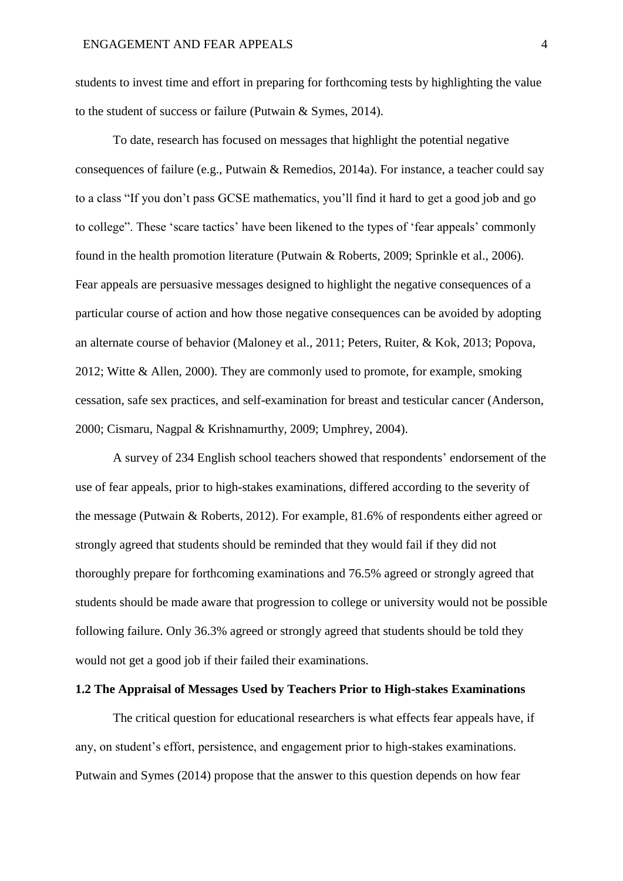students to invest time and effort in preparing for forthcoming tests by highlighting the value to the student of success or failure (Putwain & Symes, 2014).

To date, research has focused on messages that highlight the potential negative consequences of failure (e.g., Putwain & Remedios, 2014a). For instance, a teacher could say to a class "If you don't pass GCSE mathematics, you'll find it hard to get a good job and go to college". These 'scare tactics' have been likened to the types of 'fear appeals' commonly found in the health promotion literature (Putwain & Roberts, 2009; Sprinkle et al., 2006). Fear appeals are persuasive messages designed to highlight the negative consequences of a particular course of action and how those negative consequences can be avoided by adopting an alternate course of behavior (Maloney et al., 2011; Peters, Ruiter, & Kok, 2013; Popova, 2012; Witte & Allen, 2000). They are commonly used to promote, for example, smoking cessation, safe sex practices, and self-examination for breast and testicular cancer (Anderson, 2000; Cismaru, Nagpal & Krishnamurthy, 2009; Umphrey, 2004).

A survey of 234 English school teachers showed that respondents' endorsement of the use of fear appeals, prior to high-stakes examinations, differed according to the severity of the message (Putwain & Roberts, 2012). For example, 81.6% of respondents either agreed or strongly agreed that students should be reminded that they would fail if they did not thoroughly prepare for forthcoming examinations and 76.5% agreed or strongly agreed that students should be made aware that progression to college or university would not be possible following failure. Only 36.3% agreed or strongly agreed that students should be told they would not get a good job if their failed their examinations.

## **1.2 The Appraisal of Messages Used by Teachers Prior to High-stakes Examinations**

The critical question for educational researchers is what effects fear appeals have, if any, on student's effort, persistence, and engagement prior to high-stakes examinations. Putwain and Symes (2014) propose that the answer to this question depends on how fear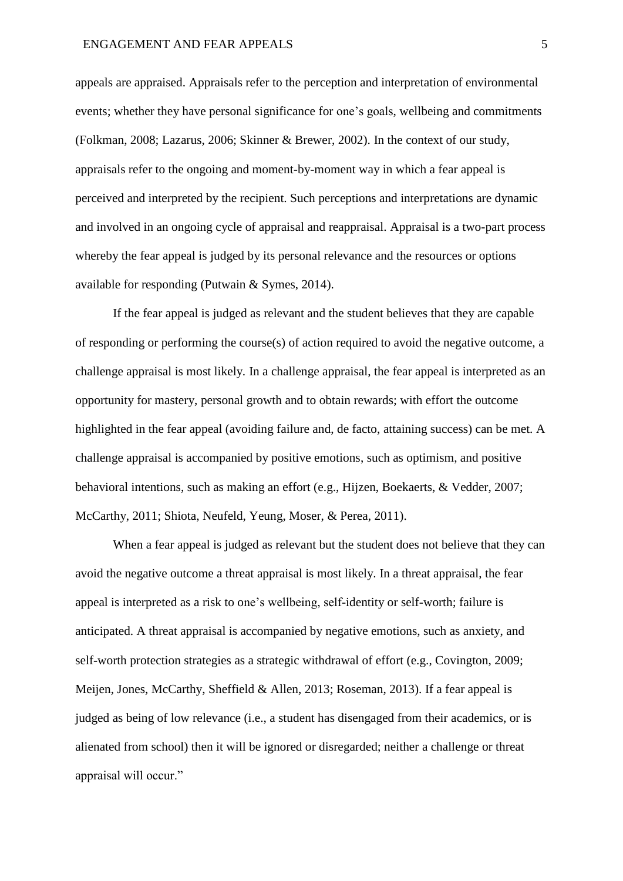appeals are appraised. Appraisals refer to the perception and interpretation of environmental events; whether they have personal significance for one's goals, wellbeing and commitments (Folkman, 2008; Lazarus, 2006; Skinner & Brewer, 2002). In the context of our study, appraisals refer to the ongoing and moment-by-moment way in which a fear appeal is perceived and interpreted by the recipient. Such perceptions and interpretations are dynamic and involved in an ongoing cycle of appraisal and reappraisal. Appraisal is a two-part process whereby the fear appeal is judged by its personal relevance and the resources or options available for responding (Putwain & Symes, 2014).

If the fear appeal is judged as relevant and the student believes that they are capable of responding or performing the course(s) of action required to avoid the negative outcome, a challenge appraisal is most likely. In a challenge appraisal, the fear appeal is interpreted as an opportunity for mastery, personal growth and to obtain rewards; with effort the outcome highlighted in the fear appeal (avoiding failure and, de facto, attaining success) can be met. A challenge appraisal is accompanied by positive emotions, such as optimism, and positive behavioral intentions, such as making an effort (e.g., Hijzen, Boekaerts, & Vedder, 2007; McCarthy, 2011; Shiota, Neufeld, Yeung, Moser, & Perea, 2011).

When a fear appeal is judged as relevant but the student does not believe that they can avoid the negative outcome a threat appraisal is most likely. In a threat appraisal, the fear appeal is interpreted as a risk to one's wellbeing, self-identity or self-worth; failure is anticipated. A threat appraisal is accompanied by negative emotions, such as anxiety, and self-worth protection strategies as a strategic withdrawal of effort (e.g., Covington, 2009; Meijen, Jones, McCarthy, Sheffield & Allen, 2013; Roseman, 2013). If a fear appeal is judged as being of low relevance (i.e., a student has disengaged from their academics, or is alienated from school) then it will be ignored or disregarded; neither a challenge or threat appraisal will occur."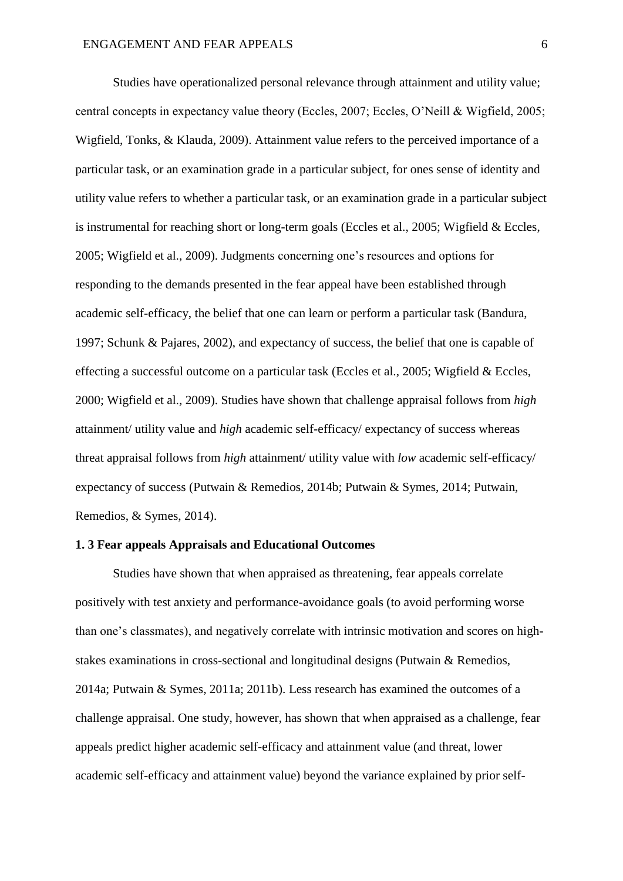Studies have operationalized personal relevance through attainment and utility value; central concepts in expectancy value theory (Eccles, 2007; Eccles, O'Neill & Wigfield, 2005; Wigfield, Tonks, & Klauda, 2009). Attainment value refers to the perceived importance of a particular task, or an examination grade in a particular subject, for ones sense of identity and utility value refers to whether a particular task, or an examination grade in a particular subject is instrumental for reaching short or long-term goals (Eccles et al., 2005; Wigfield & Eccles, 2005; Wigfield et al., 2009). Judgments concerning one's resources and options for responding to the demands presented in the fear appeal have been established through academic self-efficacy, the belief that one can learn or perform a particular task (Bandura, 1997; Schunk & Pajares, 2002), and expectancy of success, the belief that one is capable of effecting a successful outcome on a particular task (Eccles et al., 2005; Wigfield & Eccles, 2000; Wigfield et al., 2009). Studies have shown that challenge appraisal follows from *high* attainment/ utility value and *high* academic self-efficacy/ expectancy of success whereas threat appraisal follows from *high* attainment/ utility value with *low* academic self-efficacy/ expectancy of success (Putwain & Remedios, 2014b; Putwain & Symes, 2014; Putwain, Remedios, & Symes, 2014).

# **1. 3 Fear appeals Appraisals and Educational Outcomes**

Studies have shown that when appraised as threatening, fear appeals correlate positively with test anxiety and performance-avoidance goals (to avoid performing worse than one's classmates), and negatively correlate with intrinsic motivation and scores on highstakes examinations in cross-sectional and longitudinal designs (Putwain & Remedios, 2014a; Putwain & Symes, 2011a; 2011b). Less research has examined the outcomes of a challenge appraisal. One study, however, has shown that when appraised as a challenge, fear appeals predict higher academic self-efficacy and attainment value (and threat, lower academic self-efficacy and attainment value) beyond the variance explained by prior self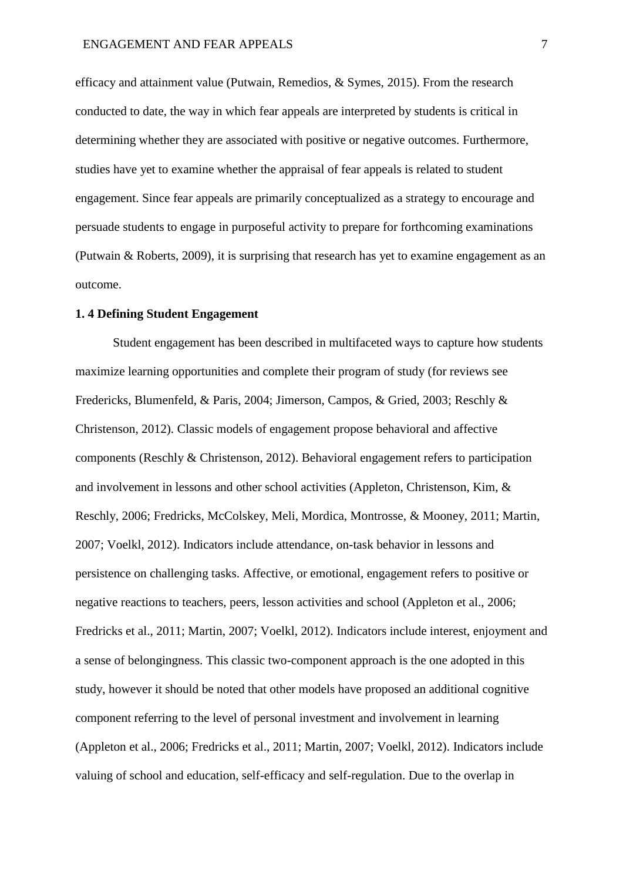efficacy and attainment value (Putwain, Remedios, & Symes, 2015). From the research conducted to date, the way in which fear appeals are interpreted by students is critical in determining whether they are associated with positive or negative outcomes. Furthermore, studies have yet to examine whether the appraisal of fear appeals is related to student engagement. Since fear appeals are primarily conceptualized as a strategy to encourage and persuade students to engage in purposeful activity to prepare for forthcoming examinations (Putwain & Roberts, 2009), it is surprising that research has yet to examine engagement as an outcome.

#### **1. 4 Defining Student Engagement**

Student engagement has been described in multifaceted ways to capture how students maximize learning opportunities and complete their program of study (for reviews see Fredericks, Blumenfeld, & Paris, 2004; Jimerson, Campos, & Gried, 2003; Reschly & Christenson, 2012). Classic models of engagement propose behavioral and affective components (Reschly & Christenson, 2012). Behavioral engagement refers to participation and involvement in lessons and other school activities (Appleton, Christenson, Kim, & Reschly, 2006; Fredricks, McColskey, Meli, Mordica, Montrosse, & Mooney, 2011; Martin, 2007; Voelkl, 2012). Indicators include attendance, on-task behavior in lessons and persistence on challenging tasks. Affective, or emotional, engagement refers to positive or negative reactions to teachers, peers, lesson activities and school (Appleton et al., 2006; Fredricks et al., 2011; Martin, 2007; Voelkl, 2012). Indicators include interest, enjoyment and a sense of belongingness. This classic two-component approach is the one adopted in this study, however it should be noted that other models have proposed an additional cognitive component referring to the level of personal investment and involvement in learning (Appleton et al., 2006; Fredricks et al., 2011; Martin, 2007; Voelkl, 2012). Indicators include valuing of school and education, self-efficacy and self-regulation. Due to the overlap in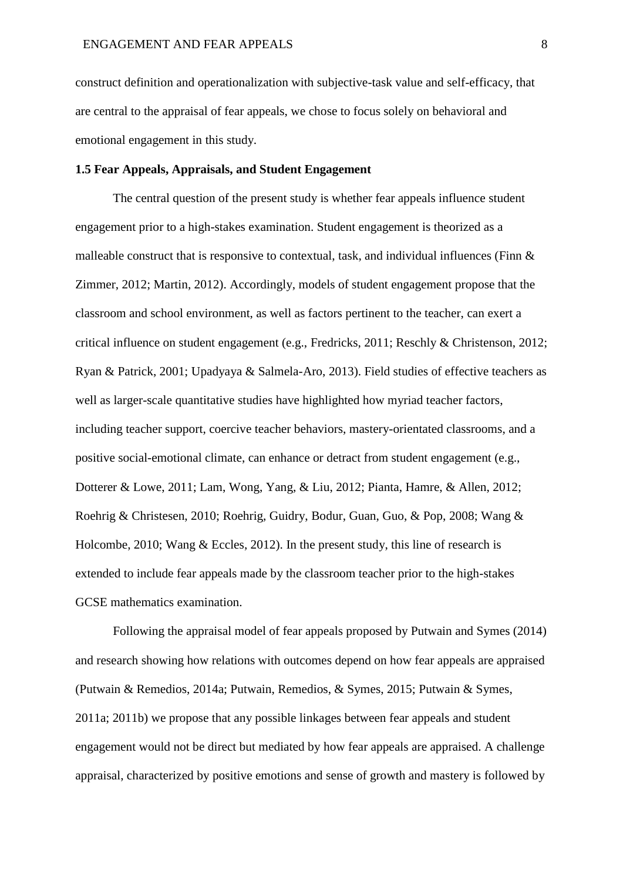construct definition and operationalization with subjective-task value and self-efficacy, that are central to the appraisal of fear appeals, we chose to focus solely on behavioral and emotional engagement in this study.

## **1.5 Fear Appeals, Appraisals, and Student Engagement**

The central question of the present study is whether fear appeals influence student engagement prior to a high-stakes examination. Student engagement is theorized as a malleable construct that is responsive to contextual, task, and individual influences (Finn  $\&$ Zimmer, 2012; Martin, 2012). Accordingly, models of student engagement propose that the classroom and school environment, as well as factors pertinent to the teacher, can exert a critical influence on student engagement (e.g., Fredricks, 2011; Reschly & Christenson, 2012; Ryan & Patrick, 2001; Upadyaya & Salmela-Aro, 2013). Field studies of effective teachers as well as larger-scale quantitative studies have highlighted how myriad teacher factors, including teacher support, coercive teacher behaviors, mastery-orientated classrooms, and a positive social-emotional climate, can enhance or detract from student engagement (e.g., Dotterer & Lowe, 2011; Lam, Wong, Yang, & Liu, 2012; Pianta, Hamre, & Allen, 2012; Roehrig & Christesen, 2010; Roehrig, Guidry, Bodur, Guan, Guo, & Pop, 2008; Wang & Holcombe, 2010; Wang & Eccles, 2012). In the present study, this line of research is extended to include fear appeals made by the classroom teacher prior to the high-stakes GCSE mathematics examination.

Following the appraisal model of fear appeals proposed by Putwain and Symes (2014) and research showing how relations with outcomes depend on how fear appeals are appraised (Putwain & Remedios, 2014a; Putwain, Remedios, & Symes, 2015; Putwain & Symes, 2011a; 2011b) we propose that any possible linkages between fear appeals and student engagement would not be direct but mediated by how fear appeals are appraised. A challenge appraisal, characterized by positive emotions and sense of growth and mastery is followed by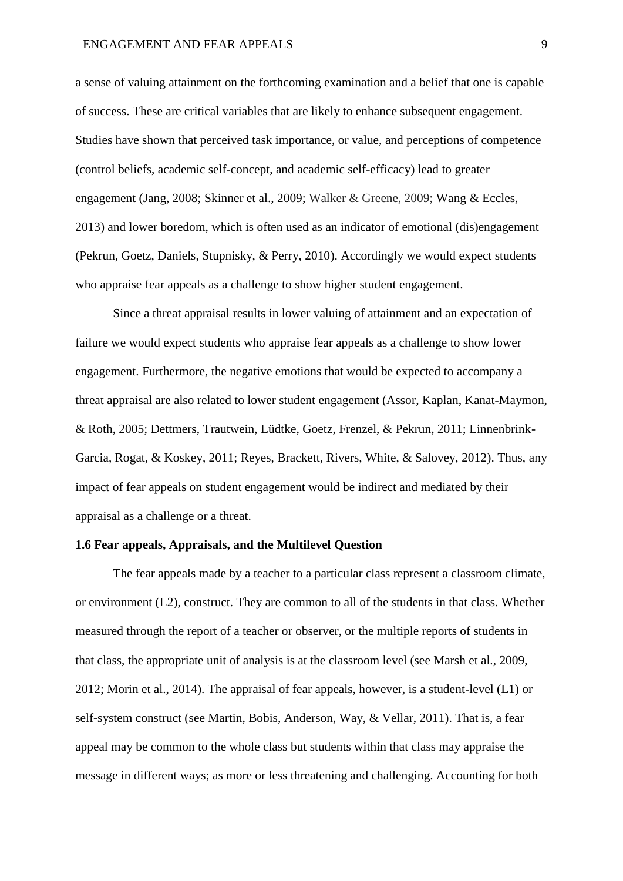#### ENGAGEMENT AND FEAR APPEALS 9

a sense of valuing attainment on the forthcoming examination and a belief that one is capable of success. These are critical variables that are likely to enhance subsequent engagement. Studies have shown that perceived task importance, or value, and perceptions of competence (control beliefs, academic self-concept, and academic self-efficacy) lead to greater engagement (Jang, 2008; Skinner et al., 2009; Walker & Greene, 2009; Wang & Eccles, 2013) and lower boredom, which is often used as an indicator of emotional (dis)engagement (Pekrun, Goetz, Daniels, Stupnisky, & Perry, 2010). Accordingly we would expect students who appraise fear appeals as a challenge to show higher student engagement.

Since a threat appraisal results in lower valuing of attainment and an expectation of failure we would expect students who appraise fear appeals as a challenge to show lower engagement. Furthermore, the negative emotions that would be expected to accompany a threat appraisal are also related to lower student engagement (Assor, Kaplan, Kanat-Maymon, & Roth, 2005; Dettmers, Trautwein, Lüdtke, Goetz, Frenzel, & Pekrun, 2011; Linnenbrink-Garcia, Rogat, & Koskey, 2011; Reyes, Brackett, Rivers, White, & Salovey, 2012). Thus, any impact of fear appeals on student engagement would be indirect and mediated by their appraisal as a challenge or a threat.

# **1.6 Fear appeals, Appraisals, and the Multilevel Question**

The fear appeals made by a teacher to a particular class represent a classroom climate, or environment (L2), construct. They are common to all of the students in that class. Whether measured through the report of a teacher or observer, or the multiple reports of students in that class, the appropriate unit of analysis is at the classroom level (see Marsh et al., 2009, 2012; Morin et al., 2014). The appraisal of fear appeals, however, is a student-level (L1) or self-system construct (see Martin, Bobis, Anderson, Way, & Vellar, 2011). That is, a fear appeal may be common to the whole class but students within that class may appraise the message in different ways; as more or less threatening and challenging. Accounting for both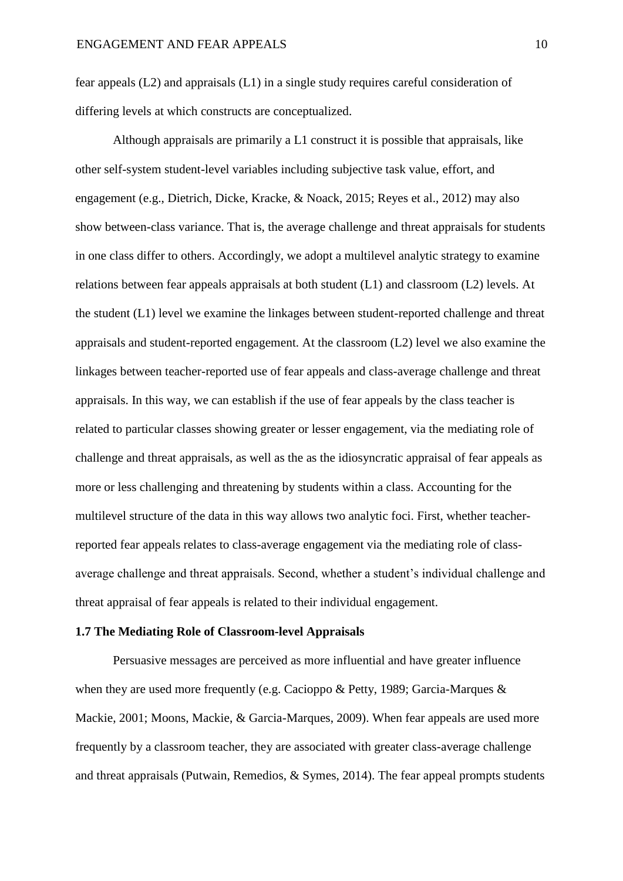fear appeals (L2) and appraisals (L1) in a single study requires careful consideration of differing levels at which constructs are conceptualized.

Although appraisals are primarily a L1 construct it is possible that appraisals, like other self-system student-level variables including subjective task value, effort, and engagement (e.g., Dietrich, Dicke, Kracke, & Noack, 2015; Reyes et al., 2012) may also show between-class variance. That is, the average challenge and threat appraisals for students in one class differ to others. Accordingly, we adopt a multilevel analytic strategy to examine relations between fear appeals appraisals at both student (L1) and classroom (L2) levels. At the student (L1) level we examine the linkages between student-reported challenge and threat appraisals and student-reported engagement. At the classroom (L2) level we also examine the linkages between teacher-reported use of fear appeals and class-average challenge and threat appraisals. In this way, we can establish if the use of fear appeals by the class teacher is related to particular classes showing greater or lesser engagement, via the mediating role of challenge and threat appraisals, as well as the as the idiosyncratic appraisal of fear appeals as more or less challenging and threatening by students within a class. Accounting for the multilevel structure of the data in this way allows two analytic foci. First, whether teacherreported fear appeals relates to class-average engagement via the mediating role of classaverage challenge and threat appraisals. Second, whether a student's individual challenge and threat appraisal of fear appeals is related to their individual engagement.

#### **1.7 The Mediating Role of Classroom-level Appraisals**

Persuasive messages are perceived as more influential and have greater influence when they are used more frequently (e.g. Cacioppo & Petty, 1989; Garcia-Marques & Mackie, 2001; Moons, Mackie, & Garcia-Marques, 2009). When fear appeals are used more frequently by a classroom teacher, they are associated with greater class-average challenge and threat appraisals (Putwain, Remedios, & Symes, 2014). The fear appeal prompts students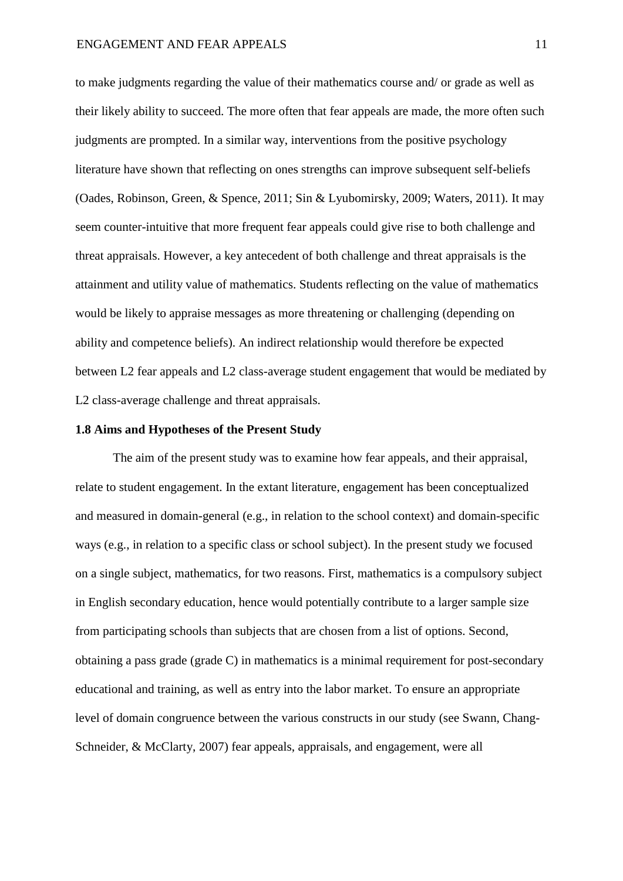to make judgments regarding the value of their mathematics course and/ or grade as well as their likely ability to succeed. The more often that fear appeals are made, the more often such judgments are prompted. In a similar way, interventions from the positive psychology literature have shown that reflecting on ones strengths can improve subsequent self-beliefs (Oades, Robinson, Green, & Spence, 2011; Sin & Lyubomirsky, 2009; Waters, 2011). It may seem counter-intuitive that more frequent fear appeals could give rise to both challenge and threat appraisals. However, a key antecedent of both challenge and threat appraisals is the attainment and utility value of mathematics. Students reflecting on the value of mathematics would be likely to appraise messages as more threatening or challenging (depending on ability and competence beliefs). An indirect relationship would therefore be expected between L2 fear appeals and L2 class-average student engagement that would be mediated by L2 class-average challenge and threat appraisals.

#### **1.8 Aims and Hypotheses of the Present Study**

The aim of the present study was to examine how fear appeals, and their appraisal, relate to student engagement. In the extant literature, engagement has been conceptualized and measured in domain-general (e.g., in relation to the school context) and domain-specific ways (e.g., in relation to a specific class or school subject). In the present study we focused on a single subject, mathematics, for two reasons. First, mathematics is a compulsory subject in English secondary education, hence would potentially contribute to a larger sample size from participating schools than subjects that are chosen from a list of options. Second, obtaining a pass grade (grade C) in mathematics is a minimal requirement for post-secondary educational and training, as well as entry into the labor market. To ensure an appropriate level of domain congruence between the various constructs in our study (see Swann, Chang-Schneider, & McClarty, 2007) fear appeals, appraisals, and engagement, were all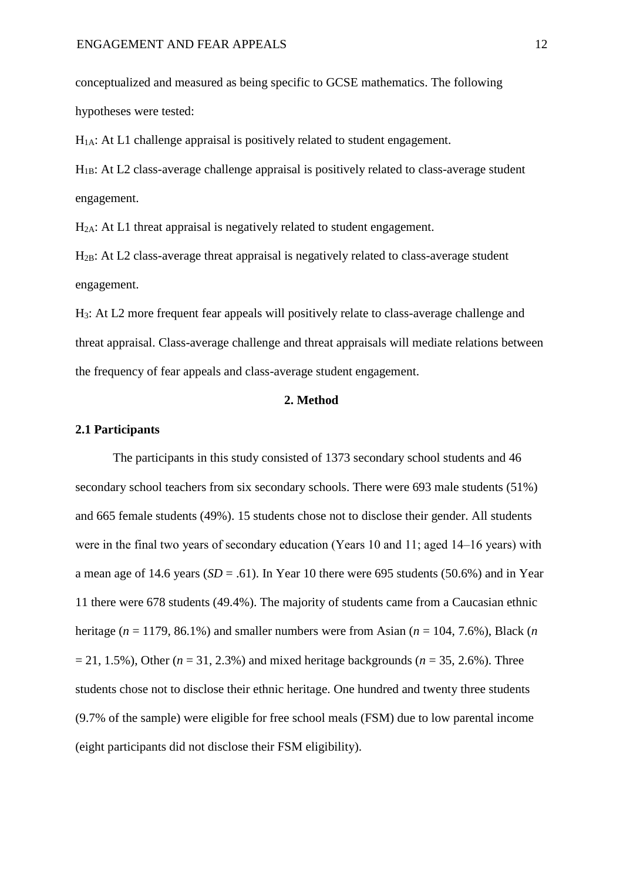conceptualized and measured as being specific to GCSE mathematics. The following hypotheses were tested:

 $H<sub>1A</sub>$ : At L1 challenge appraisal is positively related to student engagement.

 $H<sub>1B</sub>$ : At L2 class-average challenge appraisal is positively related to class-average student engagement.

H2A: At L1 threat appraisal is negatively related to student engagement.

H2B: At L2 class-average threat appraisal is negatively related to class-average student engagement.

H3: At L2 more frequent fear appeals will positively relate to class-average challenge and threat appraisal. Class-average challenge and threat appraisals will mediate relations between the frequency of fear appeals and class-average student engagement.

## **2. Method**

#### **2.1 Participants**

The participants in this study consisted of 1373 secondary school students and 46 secondary school teachers from six secondary schools. There were 693 male students (51%) and 665 female students (49%). 15 students chose not to disclose their gender. All students were in the final two years of secondary education (Years 10 and 11; aged 14–16 years) with a mean age of 14.6 years ( $SD = .61$ ). In Year 10 there were 695 students (50.6%) and in Year 11 there were 678 students (49.4%). The majority of students came from a Caucasian ethnic heritage (*n* = 1179, 86.1%) and smaller numbers were from Asian (*n* = 104, 7.6%), Black (*n*  $= 21, 1.5\%$ ), Other ( $n = 31, 2.3\%$ ) and mixed heritage backgrounds ( $n = 35, 2.6\%$ ). Three students chose not to disclose their ethnic heritage. One hundred and twenty three students (9.7% of the sample) were eligible for free school meals (FSM) due to low parental income (eight participants did not disclose their FSM eligibility).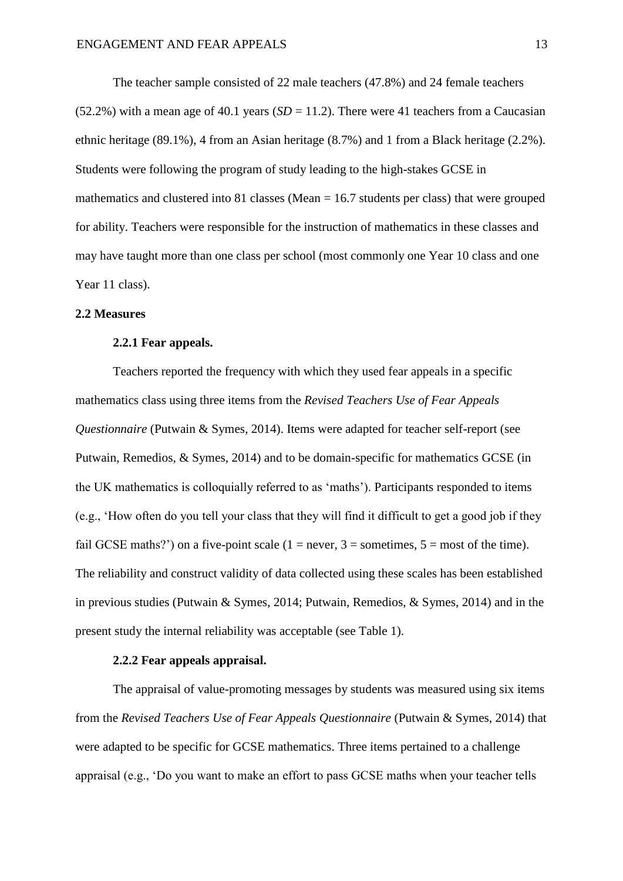The teacher sample consisted of 22 male teachers (47.8%) and 24 female teachers  $(52.2%)$  with a mean age of 40.1 years  $(SD = 11.2)$ . There were 41 teachers from a Caucasian ethnic heritage (89.1%), 4 from an Asian heritage (8.7%) and 1 from a Black heritage (2.2%). Students were following the program of study leading to the high-stakes GCSE in mathematics and clustered into 81 classes (Mean  $= 16.7$  students per class) that were grouped for ability. Teachers were responsible for the instruction of mathematics in these classes and may have taught more than one class per school (most commonly one Year 10 class and one Year 11 class).

#### **2.2 Measures**

#### **2.2.1 Fear appeals.**

Teachers reported the frequency with which they used fear appeals in a specific mathematics class using three items from the *Revised Teachers Use of Fear Appeals Questionnaire* (Putwain & Symes, 2014). Items were adapted for teacher self-report (see Putwain, Remedios, & Symes, 2014) and to be domain-specific for mathematics GCSE (in the UK mathematics is colloquially referred to as 'maths'). Participants responded to items (e.g., 'How often do you tell your class that they will find it difficult to get a good job if they fail GCSE maths?') on a five-point scale (1 = never, 3 = sometimes,  $5 =$  most of the time). The reliability and construct validity of data collected using these scales has been established in previous studies (Putwain & Symes, 2014; Putwain, Remedios, & Symes, 2014) and in the present study the internal reliability was acceptable (see Table 1).

# **2.2.2 Fear appeals appraisal.**

The appraisal of value-promoting messages by students was measured using six items from the *Revised Teachers Use of Fear Appeals Questionnaire* (Putwain & Symes, 2014) that were adapted to be specific for GCSE mathematics. Three items pertained to a challenge appraisal (e.g., 'Do you want to make an effort to pass GCSE maths when your teacher tells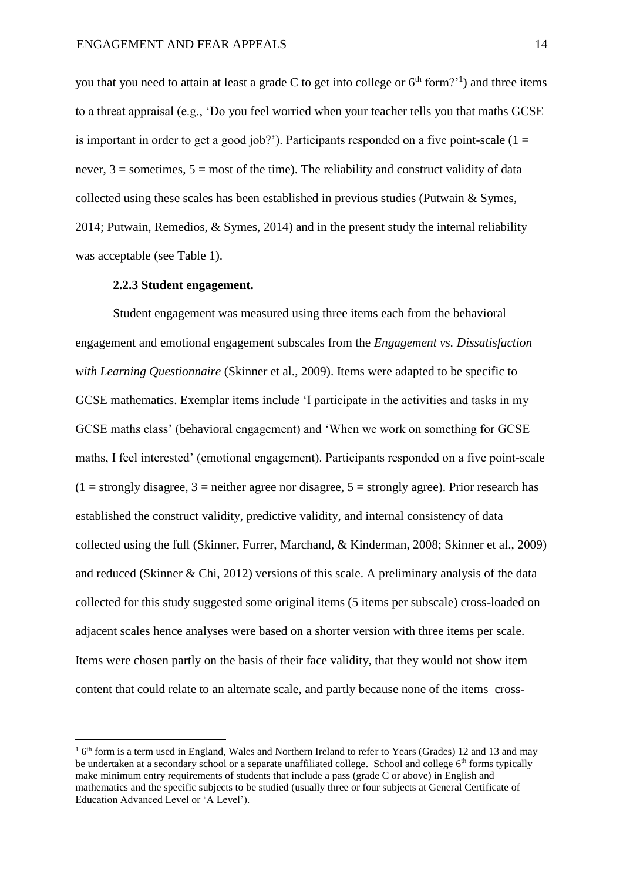you that you need to attain at least a grade C to get into college or  $6<sup>th</sup>$  form?<sup>'1</sup>) and three items to a threat appraisal (e.g., 'Do you feel worried when your teacher tells you that maths GCSE is important in order to get a good job?'). Participants responded on a five point-scale ( $1 =$ never,  $3 =$  sometimes,  $5 =$  most of the time). The reliability and construct validity of data collected using these scales has been established in previous studies (Putwain & Symes, 2014; Putwain, Remedios, & Symes, 2014) and in the present study the internal reliability was acceptable (see Table 1).

#### **2.2.3 Student engagement.**

<u>.</u>

Student engagement was measured using three items each from the behavioral engagement and emotional engagement subscales from the *Engagement vs. Dissatisfaction with Learning Questionnaire* (Skinner et al., 2009). Items were adapted to be specific to GCSE mathematics. Exemplar items include 'I participate in the activities and tasks in my GCSE maths class' (behavioral engagement) and 'When we work on something for GCSE maths, I feel interested' (emotional engagement). Participants responded on a five point-scale  $(1 = \text{strongly disagree}, 3 = \text{neither agree nor disagree}, 5 = \text{strongly agree}).$  Prior research has established the construct validity, predictive validity, and internal consistency of data collected using the full (Skinner, Furrer, Marchand, & Kinderman, 2008; Skinner et al., 2009) and reduced (Skinner & Chi, 2012) versions of this scale. A preliminary analysis of the data collected for this study suggested some original items (5 items per subscale) cross-loaded on adjacent scales hence analyses were based on a shorter version with three items per scale. Items were chosen partly on the basis of their face validity, that they would not show item content that could relate to an alternate scale, and partly because none of the items cross-

<sup>&</sup>lt;sup>1</sup> 6<sup>th</sup> form is a term used in England, Wales and Northern Ireland to refer to Years (Grades) 12 and 13 and may be undertaken at a secondary school or a separate unaffiliated college. School and college 6<sup>th</sup> forms typically make minimum entry requirements of students that include a pass (grade C or above) in English and mathematics and the specific subjects to be studied (usually three or four subjects at General Certificate of Education Advanced Level or 'A Level').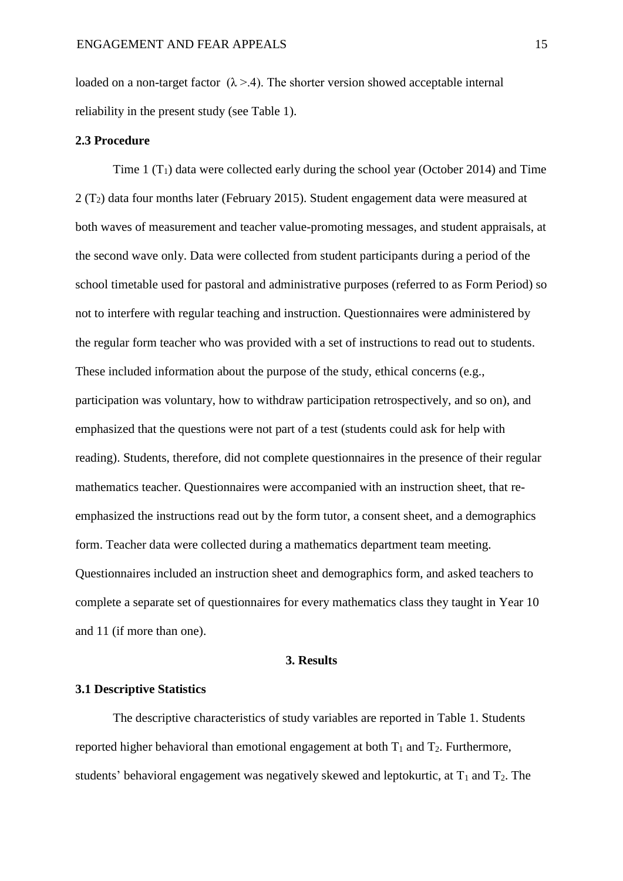loaded on a non-target factor  $(\lambda > 4)$ . The shorter version showed acceptable internal reliability in the present study (see Table 1).

#### **2.3 Procedure**

Time  $1(T_1)$  data were collected early during the school year (October 2014) and Time 2 (T2) data four months later (February 2015). Student engagement data were measured at both waves of measurement and teacher value-promoting messages, and student appraisals, at the second wave only. Data were collected from student participants during a period of the school timetable used for pastoral and administrative purposes (referred to as Form Period) so not to interfere with regular teaching and instruction. Questionnaires were administered by the regular form teacher who was provided with a set of instructions to read out to students. These included information about the purpose of the study, ethical concerns (e.g., participation was voluntary, how to withdraw participation retrospectively, and so on), and emphasized that the questions were not part of a test (students could ask for help with reading). Students, therefore, did not complete questionnaires in the presence of their regular mathematics teacher. Questionnaires were accompanied with an instruction sheet, that reemphasized the instructions read out by the form tutor, a consent sheet, and a demographics form. Teacher data were collected during a mathematics department team meeting. Questionnaires included an instruction sheet and demographics form, and asked teachers to complete a separate set of questionnaires for every mathematics class they taught in Year 10 and 11 (if more than one).

#### **3. Results**

## **3.1 Descriptive Statistics**

The descriptive characteristics of study variables are reported in Table 1. Students reported higher behavioral than emotional engagement at both  $T_1$  and  $T_2$ . Furthermore, students' behavioral engagement was negatively skewed and leptokurtic, at  $T_1$  and  $T_2$ . The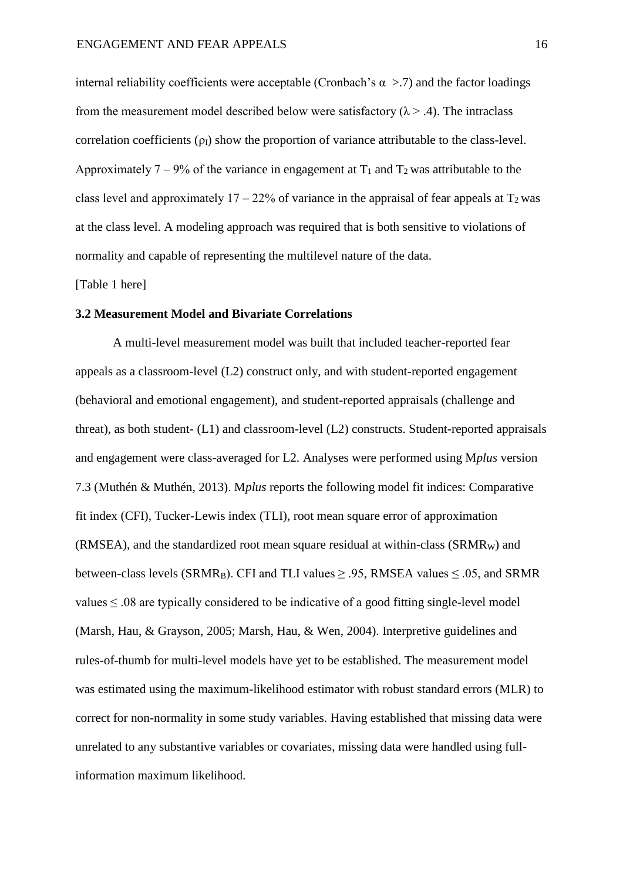internal reliability coefficients were acceptable (Cronbach's  $\alpha$  >.7) and the factor loadings from the measurement model described below were satisfactory  $(\lambda > .4)$ . The intraclass correlation coefficients  $(\rho_I)$  show the proportion of variance attributable to the class-level. Approximately 7 – 9% of the variance in engagement at  $T_1$  and  $T_2$  was attributable to the class level and approximately  $17 - 22\%$  of variance in the appraisal of fear appeals at  $T_2$  was at the class level. A modeling approach was required that is both sensitive to violations of normality and capable of representing the multilevel nature of the data.

[Table 1 here]

#### **3.2 Measurement Model and Bivariate Correlations**

A multi-level measurement model was built that included teacher-reported fear appeals as a classroom-level (L2) construct only, and with student-reported engagement (behavioral and emotional engagement), and student-reported appraisals (challenge and threat), as both student- (L1) and classroom-level (L2) constructs. Student-reported appraisals and engagement were class-averaged for L2. Analyses were performed using M*plus* version 7.3 (Muthén & Muthén, 2013). M*plus* reports the following model fit indices: Comparative fit index (CFI), Tucker-Lewis index (TLI), root mean square error of approximation  $(RMSEA)$ , and the standardized root mean square residual at within-class  $(SRMR_W)$  and between-class levels (SRMR<sub>B</sub>). CFI and TLI values  $\geq$  .95, RMSEA values  $\leq$  .05, and SRMR values  $\leq 0.08$  are typically considered to be indicative of a good fitting single-level model (Marsh, Hau, & Grayson, 2005; Marsh, Hau, & Wen, 2004). Interpretive guidelines and rules-of-thumb for multi-level models have yet to be established. The measurement model was estimated using the maximum-likelihood estimator with robust standard errors (MLR) to correct for non-normality in some study variables. Having established that missing data were unrelated to any substantive variables or covariates, missing data were handled using fullinformation maximum likelihood.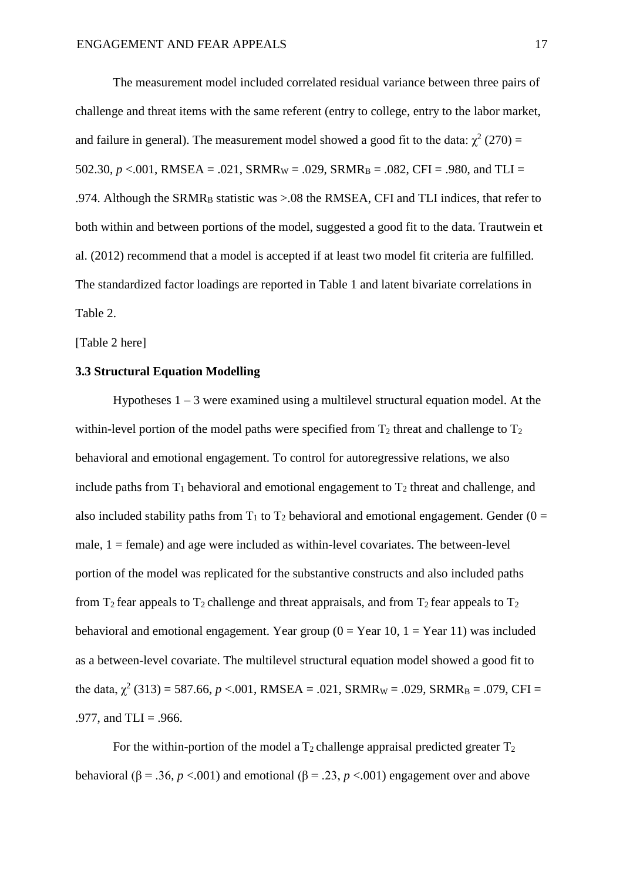The measurement model included correlated residual variance between three pairs of challenge and threat items with the same referent (entry to college, entry to the labor market, and failure in general). The measurement model showed a good fit to the data:  $\chi^2$  (270) = 502.30,  $p < .001$ , RMSEA = .021, SRMR<sub>W</sub> = .029, SRMR<sub>B</sub> = .082, CFI = .980, and TLI = .974. Although the SRMR<sub>B</sub> statistic was >.08 the RMSEA, CFI and TLI indices, that refer to both within and between portions of the model, suggested a good fit to the data. Trautwein et al. (2012) recommend that a model is accepted if at least two model fit criteria are fulfilled. The standardized factor loadings are reported in Table 1 and latent bivariate correlations in Table 2.

[Table 2 here]

# **3.3 Structural Equation Modelling**

Hypotheses  $1 - 3$  were examined using a multilevel structural equation model. At the within-level portion of the model paths were specified from  $T_2$  threat and challenge to  $T_2$ behavioral and emotional engagement. To control for autoregressive relations, we also include paths from  $T_1$  behavioral and emotional engagement to  $T_2$  threat and challenge, and also included stability paths from  $T_1$  to  $T_2$  behavioral and emotional engagement. Gender (0 = male,  $1 =$  female) and age were included as within-level covariates. The between-level portion of the model was replicated for the substantive constructs and also included paths from  $T_2$  fear appeals to  $T_2$  challenge and threat appraisals, and from  $T_2$  fear appeals to  $T_2$ behavioral and emotional engagement. Year group  $(0 = Year 10, 1 = Year 11)$  was included as a between-level covariate. The multilevel structural equation model showed a good fit to the data,  $\chi^2$  (313) = 587.66, *p* <.001, RMSEA = .021, SRMR<sub>W</sub> = .029, SRMR<sub>B</sub> = .079, CFI = .977, and  $TLI = .966$ .

For the within-portion of the model a  $T_2$  challenge appraisal predicted greater  $T_2$ behavioral ( $\beta$  = .36, *p* <.001) and emotional ( $\beta$  = .23, *p* <.001) engagement over and above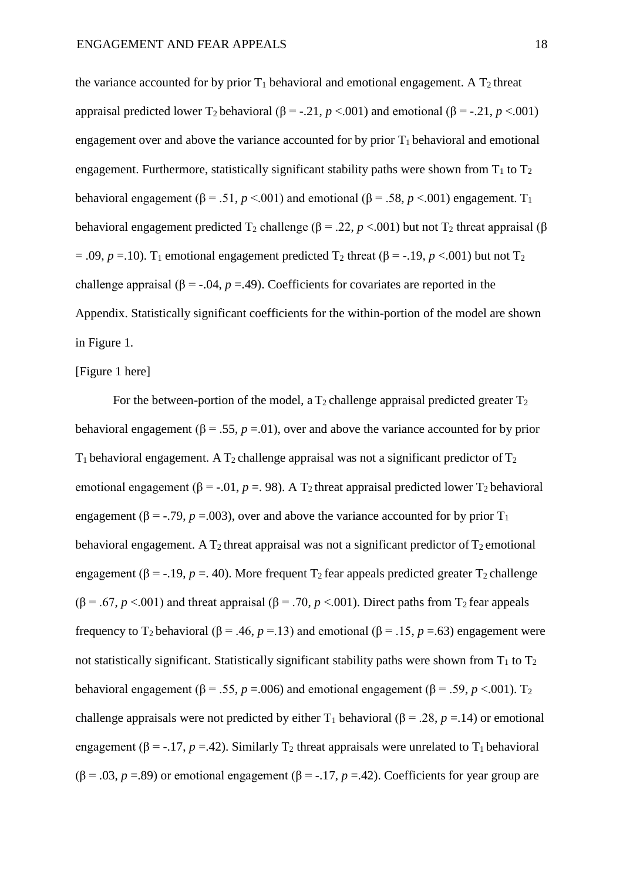the variance accounted for by prior  $T_1$  behavioral and emotional engagement. A  $T_2$  threat appraisal predicted lower  $T_2$  behavioral ( $\beta = -0.21$ ,  $p < 0.001$ ) and emotional ( $\beta = -0.21$ ,  $p < 0.001$ ) engagement over and above the variance accounted for by prior  $T_1$  behavioral and emotional engagement. Furthermore, statistically significant stability paths were shown from  $T_1$  to  $T_2$ behavioral engagement ( $\beta$  = .51, *p* <.001) and emotional ( $\beta$  = .58, *p* <.001) engagement. T<sub>1</sub> behavioral engagement predicted  $T_2$  challenge ( $\beta = .22$ ,  $p < .001$ ) but not  $T_2$  threat appraisal ( $\beta$  $= .09$ ,  $p = .10$ ). T<sub>1</sub> emotional engagement predicted T<sub>2</sub> threat ( $\beta = -.19$ ,  $p < .001$ ) but not T<sub>2</sub> challenge appraisal ( $\beta$  = -.04,  $p$  =.49). Coefficients for covariates are reported in the Appendix. Statistically significant coefficients for the within-portion of the model are shown in Figure 1.

# [Figure 1 here]

For the between-portion of the model, a  $T_2$  challenge appraisal predicted greater  $T_2$ behavioral engagement ( $\beta$  = .55, *p* = .01), over and above the variance accounted for by prior  $T_1$  behavioral engagement. A  $T_2$  challenge appraisal was not a significant predictor of  $T_2$ emotional engagement ( $\beta$  = -.01, *p* = .98). A T<sub>2</sub> threat appraisal predicted lower T<sub>2</sub> behavioral engagement ( $\beta$  = -.79, *p* =.003), over and above the variance accounted for by prior T<sub>1</sub> behavioral engagement. A  $T_2$  threat appraisal was not a significant predictor of  $T_2$  emotional engagement ( $\beta$  = -.19, *p* = 40). More frequent T<sub>2</sub> fear appeals predicted greater T<sub>2</sub> challenge ( $\beta$  = .67, *p* <.001) and threat appraisal ( $\beta$  = .70, *p* <.001). Direct paths from T<sub>2</sub> fear appeals frequency to T<sub>2</sub> behavioral ( $\beta$  = .46,  $p$  = .13) and emotional ( $\beta$  = .15,  $p$  = .63) engagement were not statistically significant. Statistically significant stability paths were shown from  $T_1$  to  $T_2$ behavioral engagement ( $\beta$  = .55, *p* = .006) and emotional engagement ( $\beta$  = .59, *p* < .001). T<sub>2</sub> challenge appraisals were not predicted by either  $T_1$  behavioral ( $\beta$  = .28, *p* = .14) or emotional engagement ( $\beta$  = -.17, *p* =.42). Similarly T<sub>2</sub> threat appraisals were unrelated to T<sub>1</sub> behavioral ( $\beta$  = .03, *p* = .89) or emotional engagement ( $\beta$  = -.17, *p* = .42). Coefficients for year group are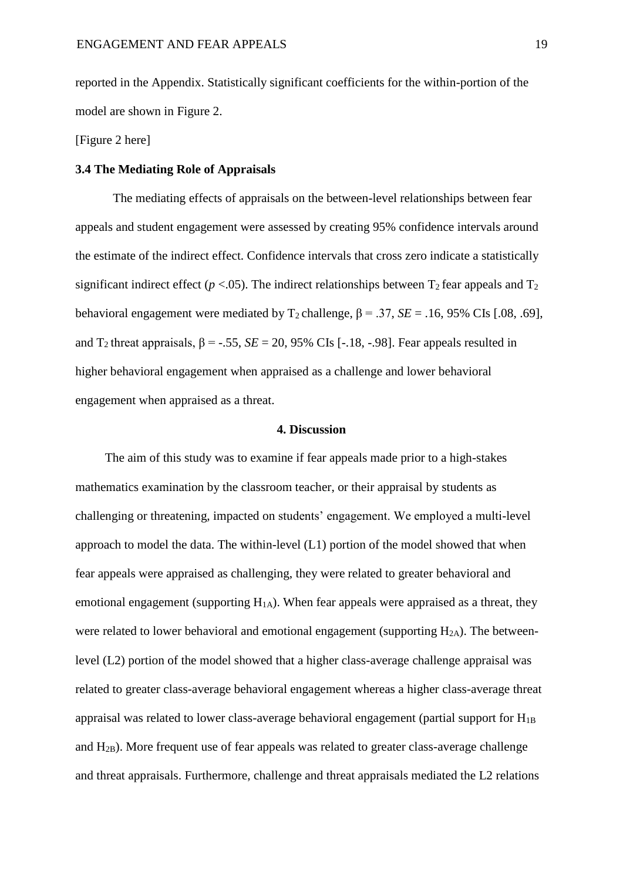reported in the Appendix. Statistically significant coefficients for the within-portion of the model are shown in Figure 2.

[Figure 2 here]

#### **3.4 The Mediating Role of Appraisals**

The mediating effects of appraisals on the between-level relationships between fear appeals and student engagement were assessed by creating 95% confidence intervals around the estimate of the indirect effect. Confidence intervals that cross zero indicate a statistically significant indirect effect ( $p < 0.05$ ). The indirect relationships between  $T_2$  fear appeals and  $T_2$ behavioral engagement were mediated by  $T_2$  challenge,  $\beta = .37$ ,  $SE = .16$ , 95% CIs [.08, .69], and  $T_2$  threat appraisals,  $\beta = -.55$ ,  $SE = 20$ ,  $95\%$  CIs [-.18, -.98]. Fear appeals resulted in higher behavioral engagement when appraised as a challenge and lower behavioral engagement when appraised as a threat.

#### **4. Discussion**

The aim of this study was to examine if fear appeals made prior to a high-stakes mathematics examination by the classroom teacher, or their appraisal by students as challenging or threatening, impacted on students' engagement. We employed a multi-level approach to model the data. The within-level (L1) portion of the model showed that when fear appeals were appraised as challenging, they were related to greater behavioral and emotional engagement (supporting  $H_{1A}$ ). When fear appeals were appraised as a threat, they were related to lower behavioral and emotional engagement (supporting  $H_{2A}$ ). The betweenlevel (L2) portion of the model showed that a higher class-average challenge appraisal was related to greater class-average behavioral engagement whereas a higher class-average threat appraisal was related to lower class-average behavioral engagement (partial support for  $H_{1B}$ ) and H2B). More frequent use of fear appeals was related to greater class-average challenge and threat appraisals. Furthermore, challenge and threat appraisals mediated the L2 relations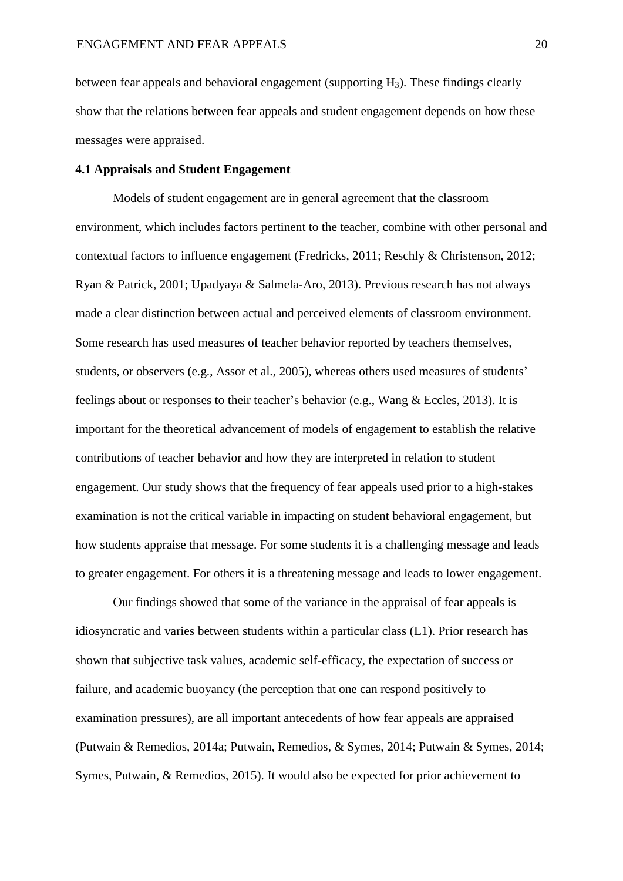between fear appeals and behavioral engagement (supporting H3). These findings clearly show that the relations between fear appeals and student engagement depends on how these messages were appraised.

### **4.1 Appraisals and Student Engagement**

Models of student engagement are in general agreement that the classroom environment, which includes factors pertinent to the teacher, combine with other personal and contextual factors to influence engagement (Fredricks, 2011; Reschly & Christenson, 2012; Ryan & Patrick, 2001; Upadyaya & Salmela-Aro, 2013). Previous research has not always made a clear distinction between actual and perceived elements of classroom environment. Some research has used measures of teacher behavior reported by teachers themselves, students, or observers (e.g., Assor et al., 2005), whereas others used measures of students' feelings about or responses to their teacher's behavior (e.g., Wang & Eccles, 2013). It is important for the theoretical advancement of models of engagement to establish the relative contributions of teacher behavior and how they are interpreted in relation to student engagement. Our study shows that the frequency of fear appeals used prior to a high-stakes examination is not the critical variable in impacting on student behavioral engagement, but how students appraise that message. For some students it is a challenging message and leads to greater engagement. For others it is a threatening message and leads to lower engagement.

Our findings showed that some of the variance in the appraisal of fear appeals is idiosyncratic and varies between students within a particular class (L1). Prior research has shown that subjective task values, academic self-efficacy, the expectation of success or failure, and academic buoyancy (the perception that one can respond positively to examination pressures), are all important antecedents of how fear appeals are appraised (Putwain & Remedios, 2014a; Putwain, Remedios, & Symes, 2014; Putwain & Symes, 2014; Symes, Putwain, & Remedios, 2015). It would also be expected for prior achievement to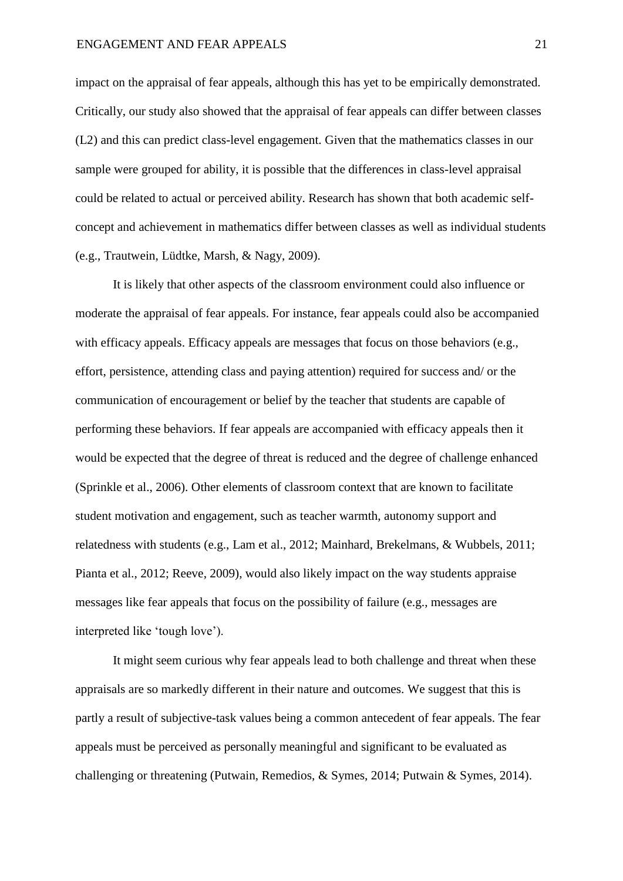impact on the appraisal of fear appeals, although this has yet to be empirically demonstrated. Critically, our study also showed that the appraisal of fear appeals can differ between classes (L2) and this can predict class-level engagement. Given that the mathematics classes in our sample were grouped for ability, it is possible that the differences in class-level appraisal could be related to actual or perceived ability. Research has shown that both academic selfconcept and achievement in mathematics differ between classes as well as individual students (e.g., Trautwein, Lüdtke, Marsh, & Nagy, 2009).

It is likely that other aspects of the classroom environment could also influence or moderate the appraisal of fear appeals. For instance, fear appeals could also be accompanied with efficacy appeals. Efficacy appeals are messages that focus on those behaviors (e.g., effort, persistence, attending class and paying attention) required for success and/ or the communication of encouragement or belief by the teacher that students are capable of performing these behaviors. If fear appeals are accompanied with efficacy appeals then it would be expected that the degree of threat is reduced and the degree of challenge enhanced (Sprinkle et al., 2006). Other elements of classroom context that are known to facilitate student motivation and engagement, such as teacher warmth, autonomy support and relatedness with students (e.g., Lam et al., 2012; Mainhard, Brekelmans, & Wubbels, 2011; Pianta et al., 2012; Reeve, 2009), would also likely impact on the way students appraise messages like fear appeals that focus on the possibility of failure (e.g., messages are interpreted like 'tough love').

It might seem curious why fear appeals lead to both challenge and threat when these appraisals are so markedly different in their nature and outcomes. We suggest that this is partly a result of subjective-task values being a common antecedent of fear appeals. The fear appeals must be perceived as personally meaningful and significant to be evaluated as challenging or threatening (Putwain, Remedios, & Symes, 2014; Putwain & Symes, 2014).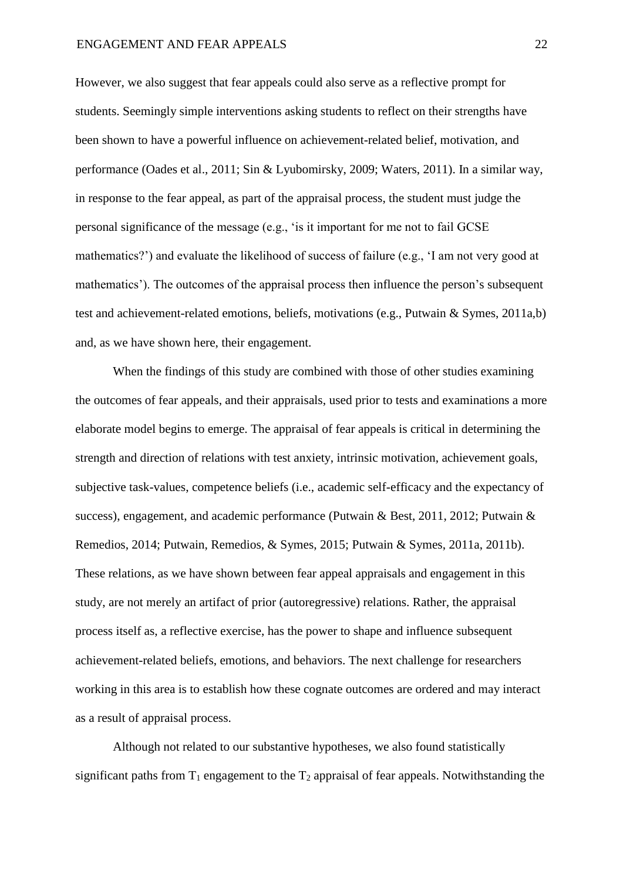#### ENGAGEMENT AND FEAR APPEALS 22

However, we also suggest that fear appeals could also serve as a reflective prompt for students. Seemingly simple interventions asking students to reflect on their strengths have been shown to have a powerful influence on achievement-related belief, motivation, and performance (Oades et al., 2011; Sin & Lyubomirsky, 2009; Waters, 2011). In a similar way, in response to the fear appeal, as part of the appraisal process, the student must judge the personal significance of the message (e.g., 'is it important for me not to fail GCSE mathematics?') and evaluate the likelihood of success of failure (e.g., 'I am not very good at mathematics'). The outcomes of the appraisal process then influence the person's subsequent test and achievement-related emotions, beliefs, motivations (e.g., Putwain & Symes, 2011a,b) and, as we have shown here, their engagement.

When the findings of this study are combined with those of other studies examining the outcomes of fear appeals, and their appraisals, used prior to tests and examinations a more elaborate model begins to emerge. The appraisal of fear appeals is critical in determining the strength and direction of relations with test anxiety, intrinsic motivation, achievement goals, subjective task-values, competence beliefs (i.e., academic self-efficacy and the expectancy of success), engagement, and academic performance (Putwain & Best, 2011, 2012; Putwain & Remedios, 2014; Putwain, Remedios, & Symes, 2015; Putwain & Symes, 2011a, 2011b). These relations, as we have shown between fear appeal appraisals and engagement in this study, are not merely an artifact of prior (autoregressive) relations. Rather, the appraisal process itself as, a reflective exercise, has the power to shape and influence subsequent achievement-related beliefs, emotions, and behaviors. The next challenge for researchers working in this area is to establish how these cognate outcomes are ordered and may interact as a result of appraisal process.

Although not related to our substantive hypotheses, we also found statistically significant paths from  $T_1$  engagement to the  $T_2$  appraisal of fear appeals. Notwithstanding the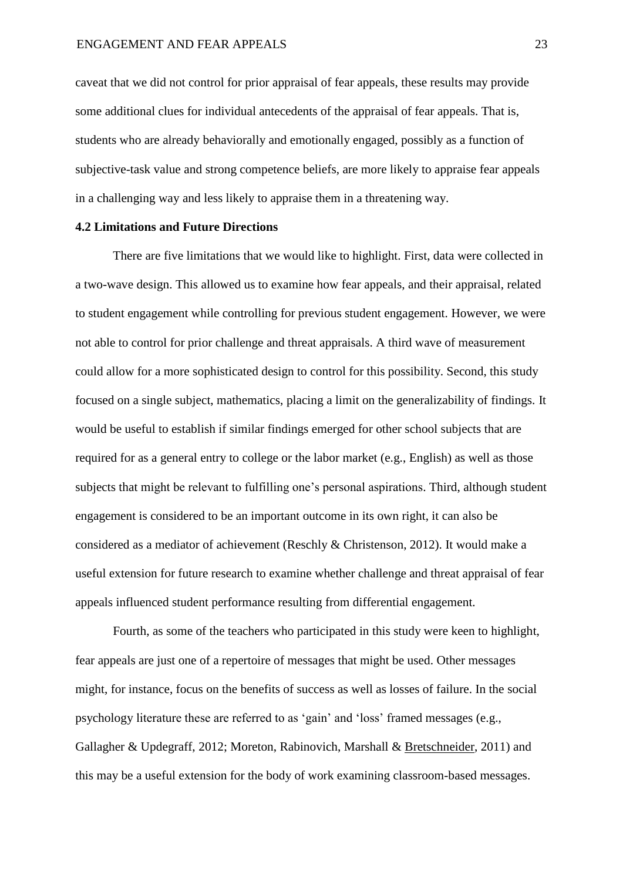caveat that we did not control for prior appraisal of fear appeals, these results may provide some additional clues for individual antecedents of the appraisal of fear appeals. That is, students who are already behaviorally and emotionally engaged, possibly as a function of subjective-task value and strong competence beliefs, are more likely to appraise fear appeals in a challenging way and less likely to appraise them in a threatening way.

#### **4.2 Limitations and Future Directions**

There are five limitations that we would like to highlight. First, data were collected in a two-wave design. This allowed us to examine how fear appeals, and their appraisal, related to student engagement while controlling for previous student engagement. However, we were not able to control for prior challenge and threat appraisals. A third wave of measurement could allow for a more sophisticated design to control for this possibility. Second, this study focused on a single subject, mathematics, placing a limit on the generalizability of findings. It would be useful to establish if similar findings emerged for other school subjects that are required for as a general entry to college or the labor market (e.g., English) as well as those subjects that might be relevant to fulfilling one's personal aspirations. Third, although student engagement is considered to be an important outcome in its own right, it can also be considered as a mediator of achievement (Reschly & Christenson, 2012). It would make a useful extension for future research to examine whether challenge and threat appraisal of fear appeals influenced student performance resulting from differential engagement.

Fourth, as some of the teachers who participated in this study were keen to highlight, fear appeals are just one of a repertoire of messages that might be used. Other messages might, for instance, focus on the benefits of success as well as losses of failure. In the social psychology literature these are referred to as 'gain' and 'loss' framed messages (e.g., Gallagher & Updegraff, 2012; Moreton, Rabinovich, Marshall & [Bretschneider,](http://www.sciencedirect.com/science/article/pii/S095937801000097X) 2011) and this may be a useful extension for the body of work examining classroom-based messages.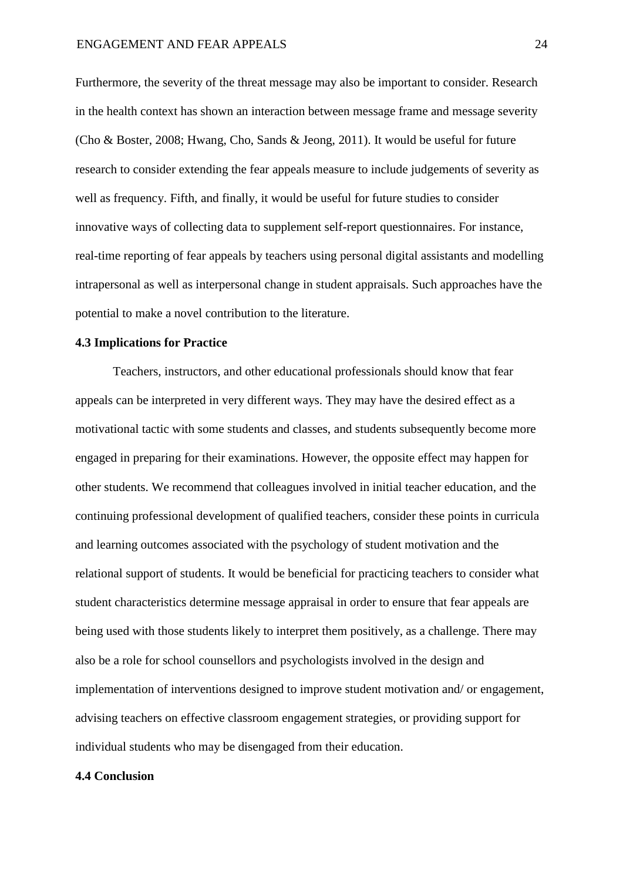Furthermore, the severity of the threat message may also be important to consider. Research in the health context has shown an interaction between message frame and message severity (Cho & Boster, 2008; Hwang, Cho, Sands & Jeong, 2011). It would be useful for future research to consider extending the fear appeals measure to include judgements of severity as well as frequency. Fifth, and finally, it would be useful for future studies to consider innovative ways of collecting data to supplement self-report questionnaires. For instance, real-time reporting of fear appeals by teachers using personal digital assistants and modelling intrapersonal as well as interpersonal change in student appraisals. Such approaches have the potential to make a novel contribution to the literature.

## **4.3 Implications for Practice**

Teachers, instructors, and other educational professionals should know that fear appeals can be interpreted in very different ways. They may have the desired effect as a motivational tactic with some students and classes, and students subsequently become more engaged in preparing for their examinations. However, the opposite effect may happen for other students. We recommend that colleagues involved in initial teacher education, and the continuing professional development of qualified teachers, consider these points in curricula and learning outcomes associated with the psychology of student motivation and the relational support of students. It would be beneficial for practicing teachers to consider what student characteristics determine message appraisal in order to ensure that fear appeals are being used with those students likely to interpret them positively, as a challenge. There may also be a role for school counsellors and psychologists involved in the design and implementation of interventions designed to improve student motivation and/ or engagement, advising teachers on effective classroom engagement strategies, or providing support for individual students who may be disengaged from their education.

#### **4.4 Conclusion**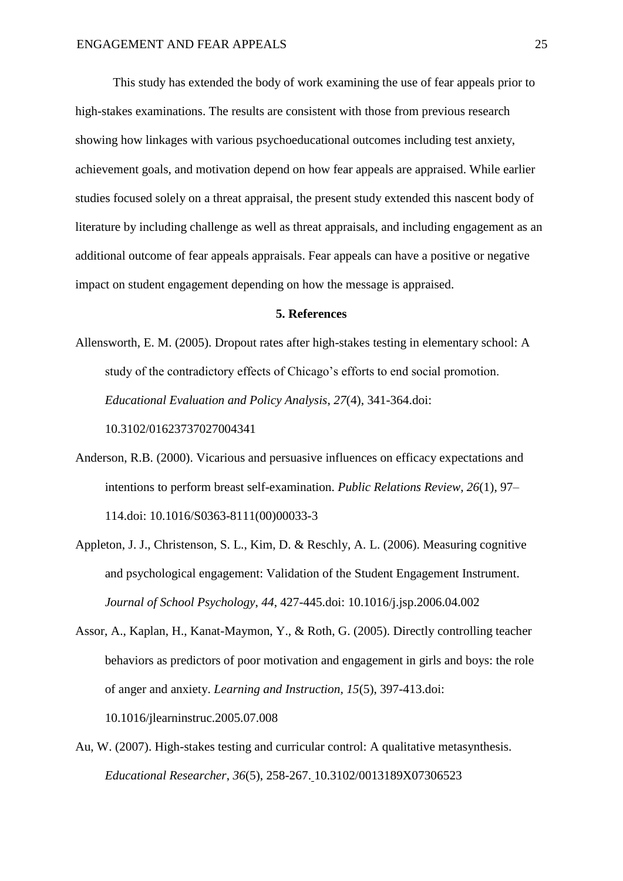This study has extended the body of work examining the use of fear appeals prior to high-stakes examinations. The results are consistent with those from previous research showing how linkages with various psychoeducational outcomes including test anxiety, achievement goals, and motivation depend on how fear appeals are appraised. While earlier studies focused solely on a threat appraisal, the present study extended this nascent body of literature by including challenge as well as threat appraisals, and including engagement as an additional outcome of fear appeals appraisals. Fear appeals can have a positive or negative impact on student engagement depending on how the message is appraised.

#### **5. References**

- Allensworth, E. M. (2005). Dropout rates after high-stakes testing in elementary school: A study of the contradictory effects of Chicago's efforts to end social promotion. *Educational Evaluation and Policy Analysis*, *27*(4), 341-364.doi: 10.3102/01623737027004341
- Anderson, R.B. (2000). Vicarious and persuasive influences on efficacy expectations and intentions to perform breast self-examination. *Public Relations Review, 26*(1), 97– 114.doi: 10.1016/S0363-8111(00)00033-3
- Appleton, J. J., Christenson, S. L., Kim, D. & Reschly, A. L. (2006). Measuring cognitive and psychological engagement: Validation of the Student Engagement Instrument. *Journal of School Psychology*, *44*, 427-445.doi: [10.1016/j.jsp.2006.04.002](http://dx.doi.org/10.1016/j.jsp.2006.04.002)
- Assor, A., Kaplan, H., Kanat-Maymon, Y., & Roth, G. (2005). Directly controlling teacher behaviors as predictors of poor motivation and engagement in girls and boys: the role of anger and anxiety. *Learning and Instruction, 15*(5), 397-413.doi: 10.1016/jlearninstruc.2005.07.008
- Au, W. (2007). High-stakes testing and curricular control: A qualitative metasynthesis. *Educational Researcher*, *36*(5), 258-267. 10.3102/0013189X07306523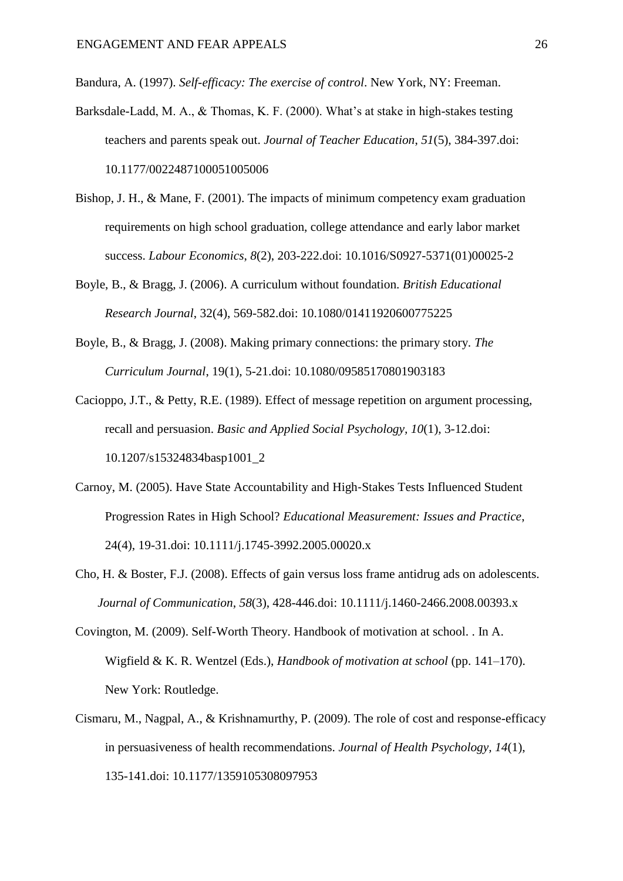Bandura, A. (1997). *Self-efficacy: The exercise of control*. New York, NY: Freeman.

- Barksdale-Ladd, M. A., & Thomas, K. F. (2000). What's at stake in high-stakes testing teachers and parents speak out. *Journal of Teacher Education*, *51*(5), 384-397.doi: 10.1177/0022487100051005006
- Bishop, J. H., & Mane, F. (2001). The impacts of minimum competency exam graduation requirements on high school graduation, college attendance and early labor market success. *Labour Economics*, *8*(2), 203-222.doi: 10.1016/S0927-5371(01)00025-2
- Boyle, B., & Bragg, J. (2006). A curriculum without foundation. *British Educational Research Journal*, 32(4), 569-582.doi: 10.1080/01411920600775225
- Boyle, B., & Bragg, J. (2008). Making primary connections: the primary story*. The Curriculum Journal*, 19(1), 5-21.doi: 10.1080/09585170801903183
- Cacioppo, J.T., & Petty, R.E. (1989). Effect of message repetition on argument processing, recall and persuasion. *Basic and Applied Social Psychology, 10*(1), 3-12.doi: 10.1207/s15324834basp1001\_2
- Carnoy, M. (2005). Have State Accountability and High‐Stakes Tests Influenced Student Progression Rates in High School? *Educational Measurement: Issues and Practice*, 24(4), 19-31.doi: 10.1111/j.1745-3992.2005.00020.x
- Cho, H. & Boster, F.J. (2008). Effects of gain versus loss frame antidrug ads on adolescents. *Journal of Communication*, *58*(3), 428-446.doi: 10.1111/j.1460-2466.2008.00393.x
- Covington, M. (2009). Self-Worth Theory. Handbook of motivation at school. . In A. Wigfield & K. R. Wentzel (Eds.), *Handbook of motivation at school* (pp. 141–170). New York: Routledge.
- Cismaru, M., Nagpal, A., & Krishnamurthy, P. (2009). The role of cost and response-efficacy in persuasiveness of health recommendations. *Journal of Health Psychology, 14*(1), 135-141.doi: 10.1177/1359105308097953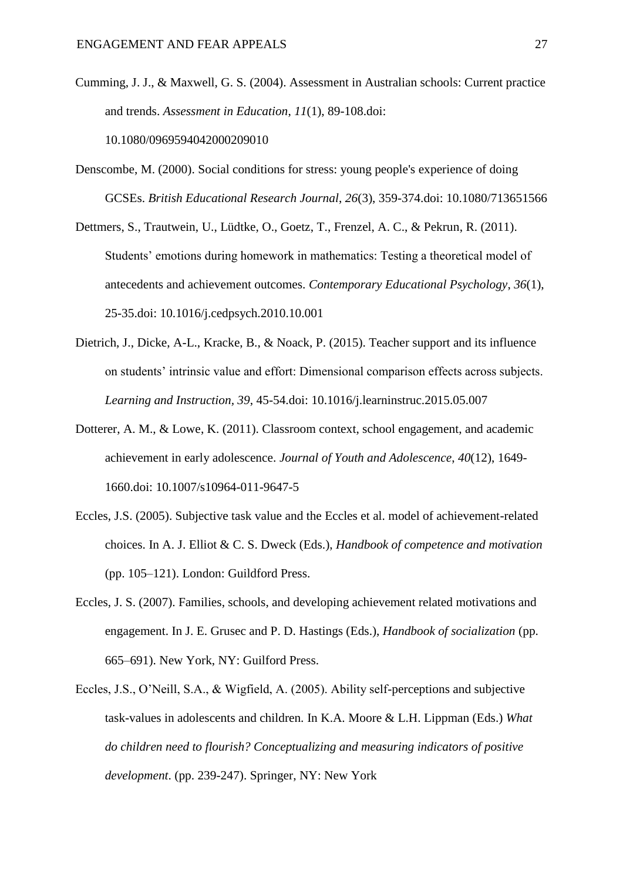- Cumming, J. J., & Maxwell, G. S. (2004). Assessment in Australian schools: Current practice and trends. *Assessment in Education*, *11*(1), 89-108.doi: 10.1080/0969594042000209010
- Denscombe, M. (2000). Social conditions for stress: young people's experience of doing GCSEs. *British Educational Research Journal*, *26*(3), 359-374.doi: 10.1080/713651566
- Dettmers, S., Trautwein, U., Lüdtke, O., Goetz, T., Frenzel, A. C., & Pekrun, R. (2011). Students' emotions during homework in mathematics: Testing a theoretical model of antecedents and achievement outcomes. *Contemporary Educational Psychology*, *36*(1), 25-35.doi: 10.1016/j.cedpsych.2010.10.001
- Dietrich, J., Dicke, A-L., Kracke, B., & Noack, P. (2015). Teacher support and its influence on students' intrinsic value and effort: Dimensional comparison effects across subjects. *Learning and Instruction, 39*, 45-54.doi: 10.1016/j.learninstruc.2015.05.007
- Dotterer, A. M., & Lowe, K. (2011). Classroom context, school engagement, and academic achievement in early adolescence. *Journal of Youth and Adolescence*, *40*(12), 1649- 1660.doi: 10.1007/s10964-011-9647-5
- Eccles, J.S. (2005). Subjective task value and the Eccles et al. model of achievement-related choices. In A. J. Elliot & C. S. Dweck (Eds.), *Handbook of competence and motivation* (pp. 105–121). London: Guildford Press.
- Eccles, J. S. (2007). Families, schools, and developing achievement related motivations and engagement. In J. E. Grusec and P. D. Hastings (Eds.), *Handbook of socialization* (pp. 665–691). New York, NY: Guilford Press.
- Eccles, J.S., O'Neill, S.A., & Wigfield, A. (2005). Ability self-perceptions and subjective task-values in adolescents and children. In K.A. Moore & L.H. Lippman (Eds.) *What do children need to flourish? Conceptualizing and measuring indicators of positive development*. (pp. 239-247). Springer, NY: New York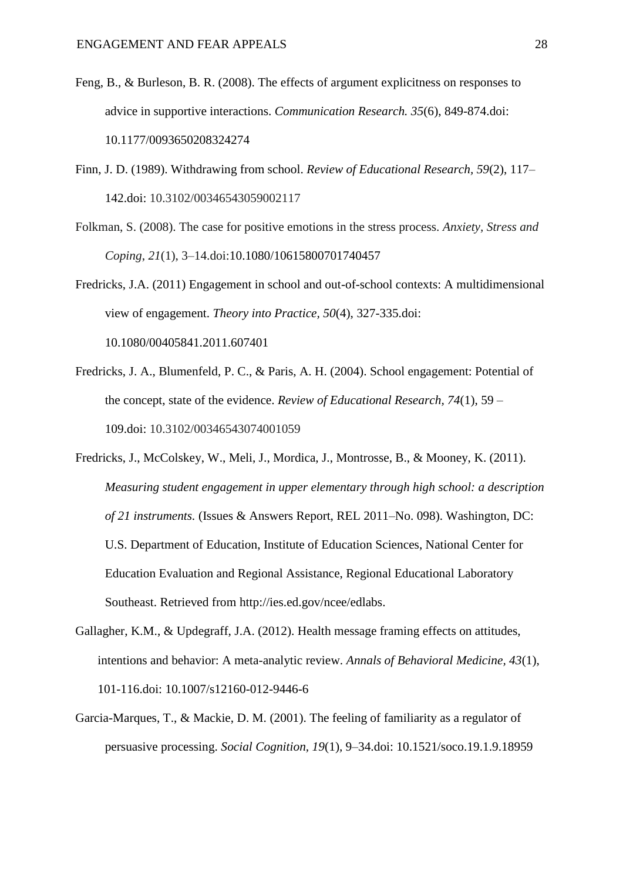- Feng, B., & Burleson, B. R. (2008). The effects of argument explicitness on responses to advice in supportive interactions. *Communication Research. 35*(6), 849-874.doi: 10.1177/0093650208324274
- Finn, J. D. (1989). Withdrawing from school. *Review of Educational Research, 59*(2), 117– 142.doi: 10.3102/00346543059002117
- Folkman, S. (2008). The case for positive emotions in the stress process. *Anxiety, Stress and Coping*, *21*(1), 3–14.doi:10.1080/10615800701740457

Fredricks, J.A. (2011) Engagement in school and out-of-school contexts: A multidimensional view of engagement. *Theory into Practice, 50*(4), 327-335.doi: 10.1080/00405841.2011.607401

Fredricks, J. A., Blumenfeld, P. C., & Paris, A. H. (2004). School engagement: Potential of the concept, state of the evidence. *Review of Educational Research, 74*(1), 59 – 109.doi: 10.3102/00346543074001059

Fredricks, J., McColskey, W., Meli, J., Mordica, J., Montrosse, B., & Mooney, K. (2011). *Measuring student engagement in upper elementary through high school: a description of 21 instruments.* (Issues & Answers Report, REL 2011–No. 098). Washington, DC: U.S. Department of Education, Institute of Education Sciences, National Center for Education Evaluation and Regional Assistance, Regional Educational Laboratory Southeast. Retrieved from [http://ies.ed.gov/ncee/edlabs.](http://ies.ed.gov/ncee/edlabs)

- Gallagher, K.M., & Updegraff, J.A. (2012). Health message framing effects on attitudes, intentions and behavior: A meta-analytic review. *Annals of Behavioral Medicine, 43*(1), 101-116.doi: 10.1007/s12160-012-9446-6
- Garcia-Marques, T., & Mackie, D. M. (2001). The feeling of familiarity as a regulator of persuasive processing. *Social Cognition, 19*(1)*,* 9–34.doi: 10.1521/soco.19.1.9.18959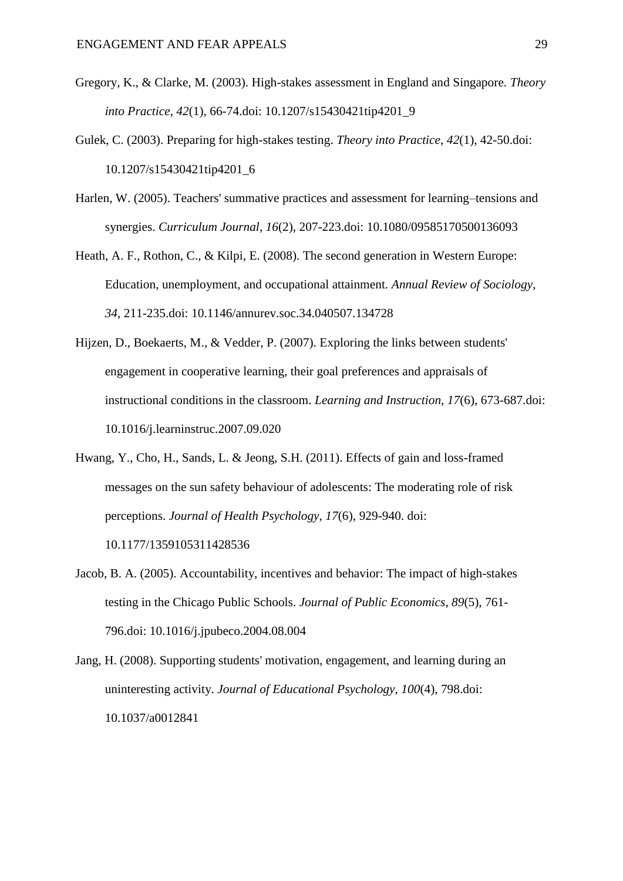- Gregory, K., & Clarke, M. (2003). High-stakes assessment in England and Singapore. *Theory into Practice*, *42*(1), 66-74.doi: 10.1207/s15430421tip4201\_9
- Gulek, C. (2003). Preparing for high-stakes testing. *Theory into Practice*, *42*(1), 42-50.doi: 10.1207/s15430421tip4201\_6
- Harlen, W. (2005). Teachers' summative practices and assessment for learning–tensions and synergies. *Curriculum Journal*, *16*(2), 207-223.doi: 10.1080/09585170500136093
- Heath, A. F., Rothon, C., & Kilpi, E. (2008). The second generation in Western Europe: Education, unemployment, and occupational attainment. *Annual Review of Sociology*, *34*, 211-235.doi: 10.1146/annurev.soc.34.040507.134728
- Hijzen, D., Boekaerts, M., & Vedder, P. (2007). Exploring the links between students' engagement in cooperative learning, their goal preferences and appraisals of instructional conditions in the classroom. *Learning and Instruction*, *17*(6), 673-687.doi: [10.1016/j.learninstruc.2007.09.020](http://dx.doi.org/10.1016/j.learninstruc.2007.09.020)
- Hwang, Y., Cho, H., Sands, L. & Jeong, S.H. (2011). Effects of gain and loss-framed messages on the sun safety behaviour of adolescents: The moderating role of risk perceptions. *Journal of Health Psychology, 17*(6), 929-940. doi:

10.1177/1359105311428536

- Jacob, B. A. (2005). Accountability, incentives and behavior: The impact of high-stakes testing in the Chicago Public Schools. *Journal of Public Economics*, *89*(5), 761- 796.doi: 10.1016/j.jpubeco.2004.08.004
- Jang, H. (2008). Supporting students' motivation, engagement, and learning during an uninteresting activity. *Journal of Educational Psychology*, *100*(4), 798.doi: 10.1037/a0012841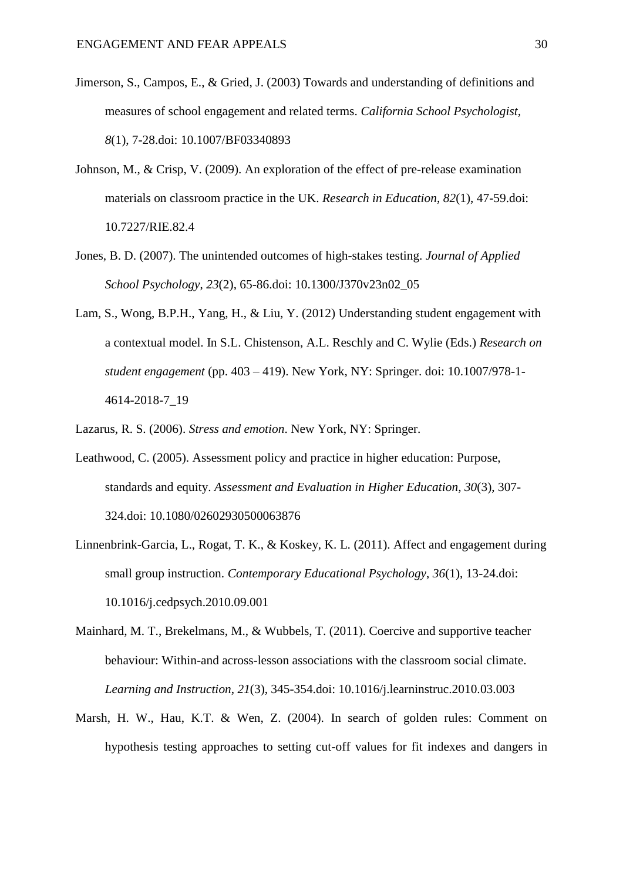- Jimerson, S., Campos, E., & Gried, J. (2003) Towards and understanding of definitions and measures of school engagement and related terms. *California School Psychologist, 8*(1), 7-28.doi: 10.1007/BF03340893
- Johnson, M., & Crisp, V. (2009). An exploration of the effect of pre-release examination materials on classroom practice in the UK. *Research in Education*, *82*(1), 47-59.doi: [10.7227/RIE.82.4](http://dx.doi.org/10.7227/RIE.82.4)
- Jones, B. D. (2007). The unintended outcomes of high-stakes testing. *Journal of Applied School Psychology*, *23*(2), 65-86.doi: 10.1300/J370v23n02\_05
- Lam, S., Wong, B.P.H., Yang, H., & Liu, Y. (2012) Understanding student engagement with a contextual model. In S.L. Chistenson, A.L. Reschly and C. Wylie (Eds.) *Research on student engagement* (pp. 403 – 419). New York, NY: Springer. doi: 10.1007/978-1- 4614-2018-7\_19
- Lazarus, R. S. (2006). *Stress and emotion*. New York, NY: Springer.
- Leathwood, C. (2005). Assessment policy and practice in higher education: Purpose, standards and equity. *Assessment and Evaluation in Higher Education*, *30*(3), 307- 324.doi: 10.1080/02602930500063876
- Linnenbrink-Garcia, L., Rogat, T. K., & Koskey, K. L. (2011). Affect and engagement during small group instruction. *Contemporary Educational Psychology*, *36*(1), 13-24.doi: 10.1016/j.cedpsych.2010.09.001
- Mainhard, M. T., Brekelmans, M., & Wubbels, T. (2011). Coercive and supportive teacher behaviour: Within-and across-lesson associations with the classroom social climate. *Learning and Instruction*, *21*(3), 345-354.doi: 10.1016/j.learninstruc.2010.03.003
- Marsh, H. W., Hau, K.T. & Wen, Z. (2004). In search of golden rules: Comment on hypothesis testing approaches to setting cut-off values for fit indexes and dangers in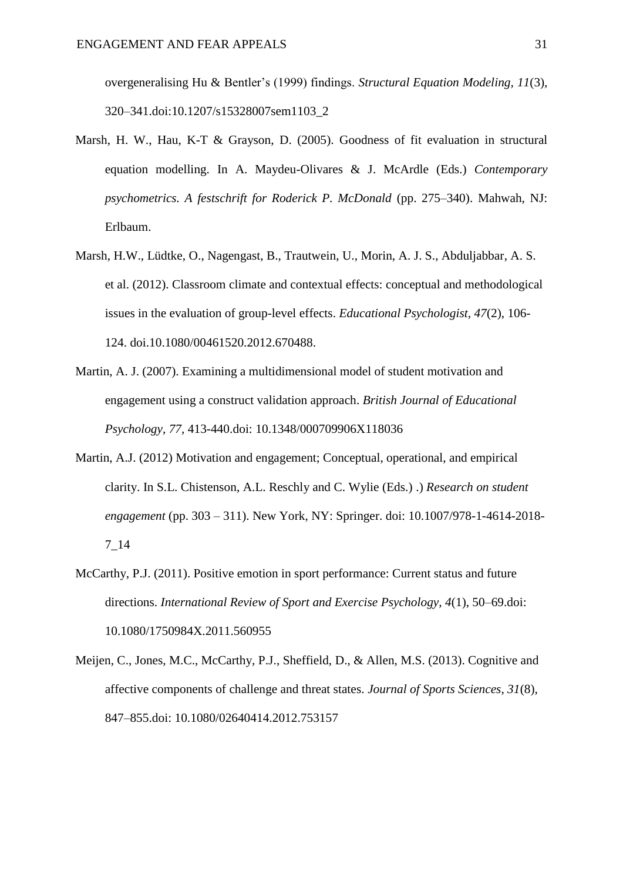overgeneralising Hu & Bentler's (1999) findings. *Structural Equation Modeling, 11*(3), 320–341.doi:10.1207/s15328007sem1103\_2

- Marsh, H. W., Hau, K-T & Grayson, D. (2005). Goodness of fit evaluation in structural equation modelling. In A. Maydeu-Olivares & J. McArdle (Eds.) *Contemporary psychometrics. A festschrift for Roderick P. McDonald* (pp. 275–340). Mahwah, NJ: Erlbaum.
- Marsh, H.W., Lüdtke, O., Nagengast, B., Trautwein, U., Morin, A. J. S., Abduljabbar, A. S. et al. (2012). Classroom climate and contextual effects: conceptual and methodological issues in the evaluation of group-level effects. *Educational Psychologist, 47*(2), 106- 124. doi.10.1080/00461520.2012.670488.
- Martin, A. J. (2007). Examining a multidimensional model of student motivation and engagement using a construct validation approach. *British Journal of Educational Psychology*, *77*, 413-440.doi: 10.1348/000709906X118036
- Martin, A.J. (2012) Motivation and engagement; Conceptual, operational, and empirical clarity. In S.L. Chistenson, A.L. Reschly and C. Wylie (Eds.) .) *Research on student engagement* (pp. 303 – 311). New York, NY: Springer. doi: 10.1007/978-1-4614-2018- 7\_14
- McCarthy, P.J. (2011). Positive emotion in sport performance: Current status and future directions. *International Review of Sport and Exercise Psychology, 4*(1), 50–69.doi: 10.1080/1750984X.2011.560955
- Meijen, C., Jones, M.C., McCarthy, P.J., Sheffield, D., & Allen, M.S. (2013). Cognitive and affective components of challenge and threat states. *Journal of Sports Sciences, 31*(8), 847–855.doi: 10.1080/02640414.2012.753157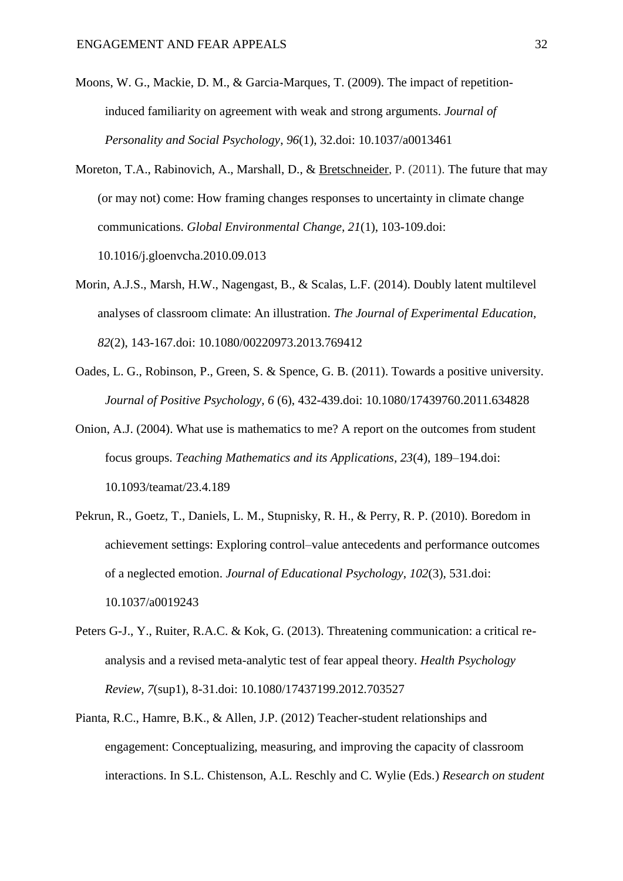- Moons, W. G., Mackie, D. M., & Garcia-Marques, T. (2009). The impact of repetitioninduced familiarity on agreement with weak and strong arguments. *Journal of Personality and Social Psychology*, *96*(1), 32.doi: 10.1037/a0013461
- Moreton, T.A., Rabinovich, A., Marshall, D., & [Bretschneider,](http://www.sciencedirect.com/science/article/pii/S095937801000097X) P. (2011). The future that may (or may not) come: How framing changes responses to uncertainty in climate change communications. *Global Environmental Change, 21*(1), 103-109.doi: 10.1016/j.gloenvcha.2010.09.013
- Morin, A.J.S., Marsh, H.W., Nagengast, B., & Scalas, L.F. (2014). Doubly latent multilevel analyses of classroom climate: An illustration. *The Journal of Experimental Education, 82*(2), 143-167.doi: 10.1080/00220973.2013.769412
- Oades, L. G., Robinson, P., Green, S. & Spence, G. B. (2011). Towards a positive university. *Journal of Positive Psychology, 6* (6), 432-439.doi: 10.1080/17439760.2011.634828
- Onion, A.J. (2004). What use is mathematics to me? A report on the outcomes from student focus groups. *Teaching Mathematics and its Applications, 23*(4), 189–194.doi: 10.1093/teamat/23.4.189
- Pekrun, R., Goetz, T., Daniels, L. M., Stupnisky, R. H., & Perry, R. P. (2010). Boredom in achievement settings: Exploring control–value antecedents and performance outcomes of a neglected emotion. *Journal of Educational Psychology*, *102*(3), 531.doi: 10.1037/a0019243
- Peters G-J., Y., Ruiter, R.A.C. & Kok, G. (2013). Threatening communication: a critical reanalysis and a revised meta-analytic test of fear appeal theory. *Health Psychology Review, 7*(sup1), 8-31.doi: 10.1080/17437199.2012.703527
- Pianta, R.C., Hamre, B.K., & Allen, J.P. (2012) Teacher-student relationships and engagement: Conceptualizing, measuring, and improving the capacity of classroom interactions. In S.L. Chistenson, A.L. Reschly and C. Wylie (Eds.) *Research on student*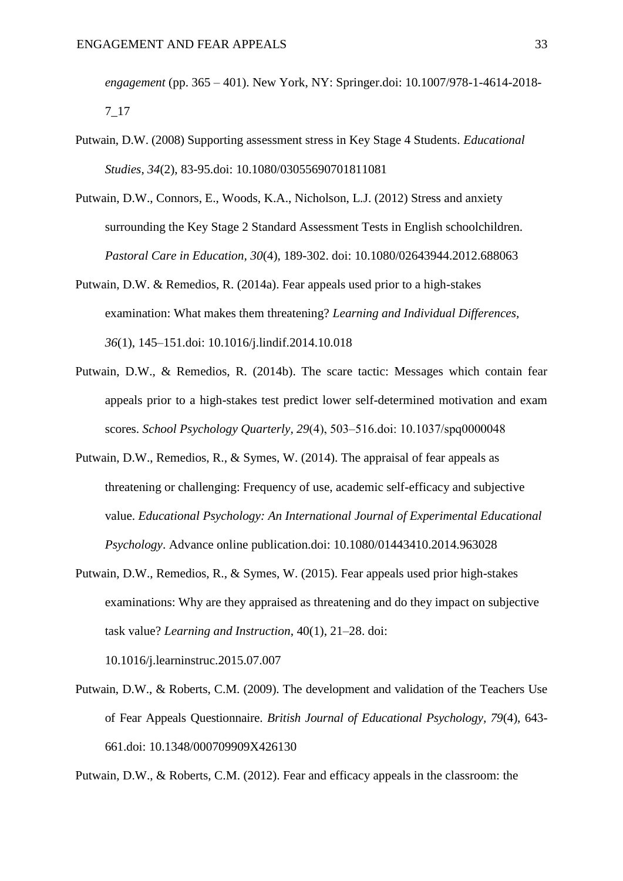*engagement* (pp. 365 – 401). New York, NY: Springer.doi: 10.1007/978-1-4614-2018- 7\_17

- Putwain, D.W. (2008) Supporting assessment stress in Key Stage 4 Students. *Educational Studies*, *34*(2), 83-95.doi: 10.1080/03055690701811081
- Putwain, D.W., Connors, E., Woods, K.A., Nicholson, L.J. (2012) Stress and anxiety surrounding the Key Stage 2 Standard Assessment Tests in English schoolchildren. *Pastoral Care in Education, 30*(4), 189-302. doi: 10.1080/02643944.2012.688063
- Putwain, D.W. & Remedios, R. (2014a). Fear appeals used prior to a high-stakes examination: What makes them threatening? *Learning and Individual Differences, 36*(1), 145–151.doi: 10.1016/j.lindif.2014.10.018
- Putwain, D.W., & Remedios, R. (2014b). The scare tactic: Messages which contain fear appeals prior to a high-stakes test predict lower self-determined motivation and exam scores. *School Psychology Quarterly, 29*(4), 503‒516.doi: 10.1037/spq0000048
- Putwain, D.W., Remedios, R., & Symes, W. (2014). The appraisal of fear appeals as threatening or challenging: Frequency of use, academic self-efficacy and subjective value. *Educational Psychology: An International Journal of Experimental Educational Psychology*. Advance online publication.doi: 10.1080/01443410.2014.963028
- Putwain, D.W., Remedios, R., & Symes, W. (2015). Fear appeals used prior high-stakes examinations: Why are they appraised as threatening and do they impact on subjective task value? *Learning and Instruction*, 40(1), 21–28. doi:

10.1016/j.learninstruc.2015.07.007

Putwain, D.W., & Roberts, C.M. (2009). The development and validation of the Teachers Use of Fear Appeals Questionnaire. *British Journal of Educational Psychology, 79*(4), 643- 661.doi: 10.1348/000709909X426130

Putwain, D.W., & Roberts, C.M. (2012). Fear and efficacy appeals in the classroom: the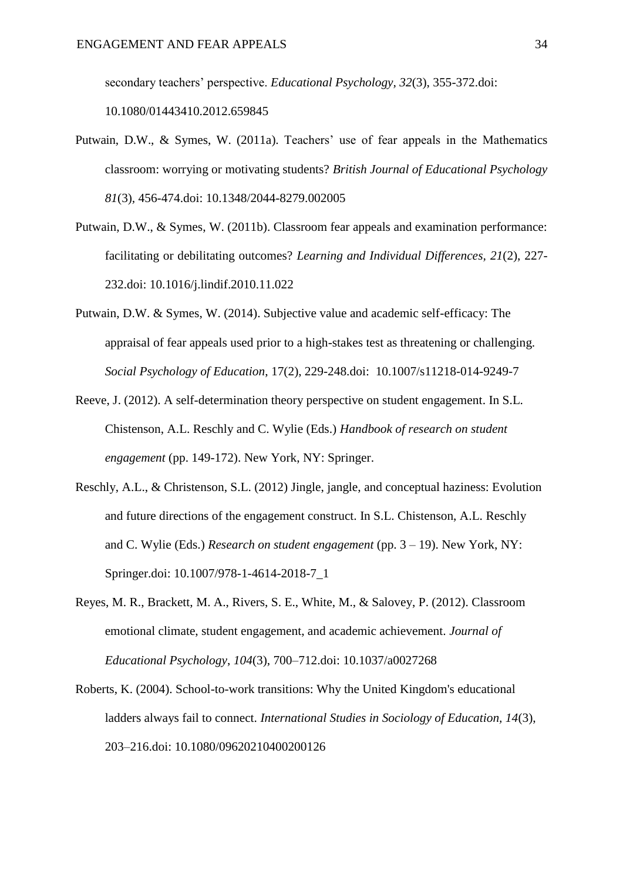secondary teachers' perspective. *Educational Psychology, 32*(3), 355-372.doi: 10.1080/01443410.2012.659845

- Putwain, D.W., & Symes, W. (2011a). Teachers' use of fear appeals in the Mathematics classroom: worrying or motivating students? *British Journal of Educational Psychology 81*(3)*,* 456-474.doi: 10.1348/2044-8279.002005
- Putwain, D.W., & Symes, W. (2011b). Classroom fear appeals and examination performance: facilitating or debilitating outcomes? *Learning and Individual Differences, 21*(2), 227- 232.doi: 10.1016/j.lindif.2010.11.022
- Putwain, D.W. & Symes, W. (2014). Subjective value and academic self-efficacy: The appraisal of fear appeals used prior to a high-stakes test as threatening or challenging. *Social Psychology of Education*, 17(2), 229-248.doi: 10.1007/s11218-014-9249-7
- Reeve, J. (2012). A self-determination theory perspective on student engagement. In S.L. Chistenson, A.L. Reschly and C. Wylie (Eds.) *Handbook of research on student engagement* (pp. 149-172). New York, NY: Springer.
- Reschly, A.L., & Christenson, S.L. (2012) Jingle, jangle, and conceptual haziness: Evolution and future directions of the engagement construct. In S.L. Chistenson, A.L. Reschly and C. Wylie (Eds.) *Research on student engagement* (pp. 3 – 19). New York, NY: Springer.doi: 10.1007/978-1-4614-2018-7\_1
- Reyes, M. R., Brackett, M. A., Rivers, S. E., White, M., & Salovey, P. (2012). Classroom emotional climate, student engagement, and academic achievement. *Journal of Educational Psychology*, *104*(3), 700–712.doi: 10.1037/a0027268
- Roberts, K. (2004). School-to-work transitions: Why the United Kingdom's educational ladders always fail to connect. *International Studies in Sociology of Education, 14*(3), 203–216.doi: 10.1080/09620210400200126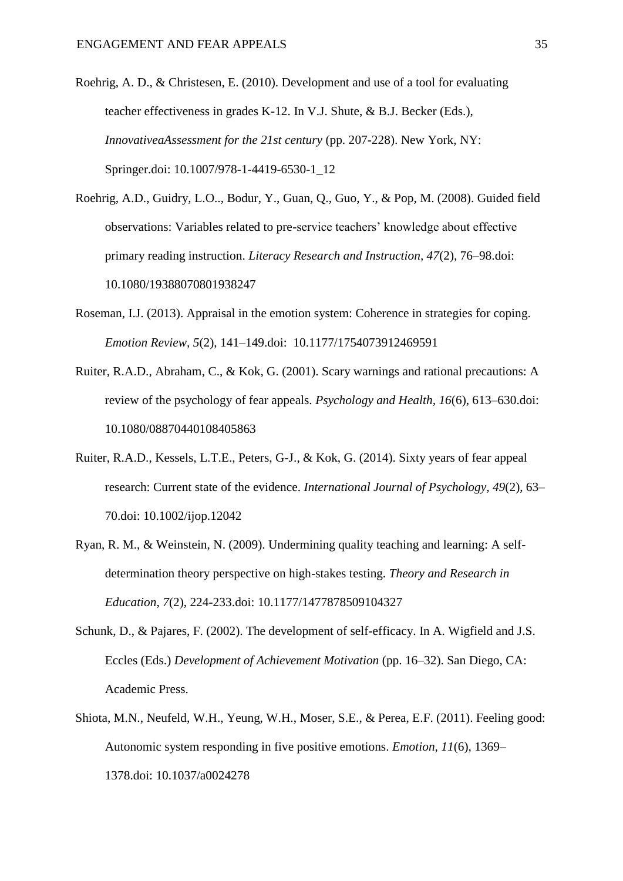- Roehrig, A. D., & Christesen, E. (2010). Development and use of a tool for evaluating teacher effectiveness in grades K-12. In V.J. Shute, & B.J. Becker (Eds.), *InnovativeaAssessment for the 21st century* (pp. 207-228). New York, NY: Springer.doi: 10.1007/978-1-4419-6530-1\_12
- Roehrig, A.D., Guidry, L.O.., Bodur, Y., Guan, Q., Guo, Y., & Pop, M. (2008). Guided field observations: Variables related to pre-service teachers' knowledge about effective primary reading instruction. *Literacy Research and Instruction, 47*(2)*,* 76–98.doi: 10.1080/19388070801938247
- Roseman, I.J. (2013). Appraisal in the emotion system: Coherence in strategies for coping. *Emotion Review, 5*(2), 141–149.doi: 10.1177/1754073912469591
- Ruiter, R.A.D., Abraham, C., & Kok, G. (2001). Scary warnings and rational precautions: A review of the psychology of fear appeals. *Psychology and Health, 16*(6), 613–630.doi: 10.1080/08870440108405863
- Ruiter, R.A.D., Kessels, L.T.E., Peters, G-J., & Kok, G. (2014). Sixty years of fear appeal research: Current state of the evidence. *International Journal of Psychology, 49*(2), 63– 70.doi: 10.1002/ijop.12042
- Ryan, R. M., & Weinstein, N. (2009). Undermining quality teaching and learning: A selfdetermination theory perspective on high-stakes testing. *Theory and Research in Education*, *7*(2), 224-233.doi: 10.1177/1477878509104327
- Schunk, D., & Pajares, F. (2002). The development of self-efficacy. In A. Wigfield and J.S. Eccles (Eds.) *Development of Achievement Motivation* (pp. 16–32). San Diego, CA: Academic Press.
- Shiota, M.N., Neufeld, W.H., Yeung, W.H., Moser, S.E., & Perea, E.F. (2011). Feeling good: Autonomic system responding in five positive emotions. *Emotion, 11*(6), 1369– 1378.doi: 10.1037/a0024278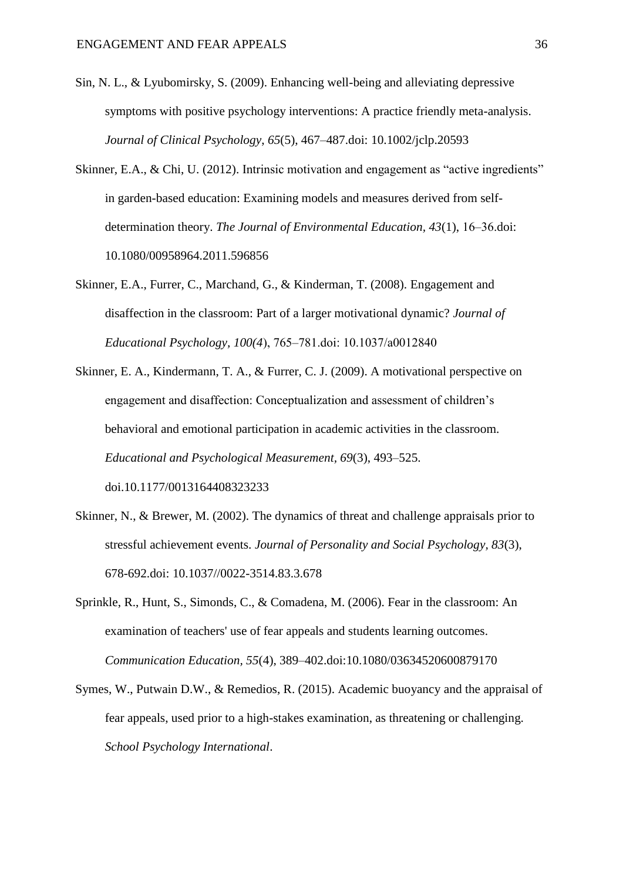- Sin, N. L., & Lyubomirsky, S. (2009). Enhancing well-being and alleviating depressive symptoms with positive psychology interventions: A practice friendly meta-analysis. *Journal of Clinical Psychology*, *65*(5), 467–487.doi: 10.1002/jclp.20593
- Skinner, E.A., & Chi, U. (2012). Intrinsic motivation and engagement as "active ingredients" in garden-based education: Examining models and measures derived from selfdetermination theory. *The Journal of Environmental Education, 43*(1), 16‒36.doi: 10.1080/00958964.2011.596856
- Skinner, E.A., Furrer, C., Marchand, G., & Kinderman, T. (2008). Engagement and disaffection in the classroom: Part of a larger motivational dynamic? *Journal of Educational Psychology, 100(4*), 765‒781.doi: 10.1037/a0012840
- Skinner, E. A., Kindermann, T. A., & Furrer, C. J. (2009). A motivational perspective on engagement and disaffection: Conceptualization and assessment of children's behavioral and emotional participation in academic activities in the classroom. *Educational and Psychological Measurement, 69*(3), 493–525. doi.10.1177/0013164408323233
- Skinner, N., & Brewer, M. (2002). The dynamics of threat and challenge appraisals prior to stressful achievement events. *Journal of Personality and Social Psychology, 83*(3), 678-692.doi: 10.1037//0022-3514.83.3.678
- Sprinkle, R., Hunt, S., Simonds, C., & Comadena, M. (2006). Fear in the classroom: An examination of teachers' use of fear appeals and students learning outcomes. *Communication Education, 55*(4), 389–402.doi:10.1080/03634520600879170
- Symes, W., Putwain D.W., & Remedios, R. (2015). Academic buoyancy and the appraisal of fear appeals, used prior to a high-stakes examination, as threatening or challenging. *School Psychology International*.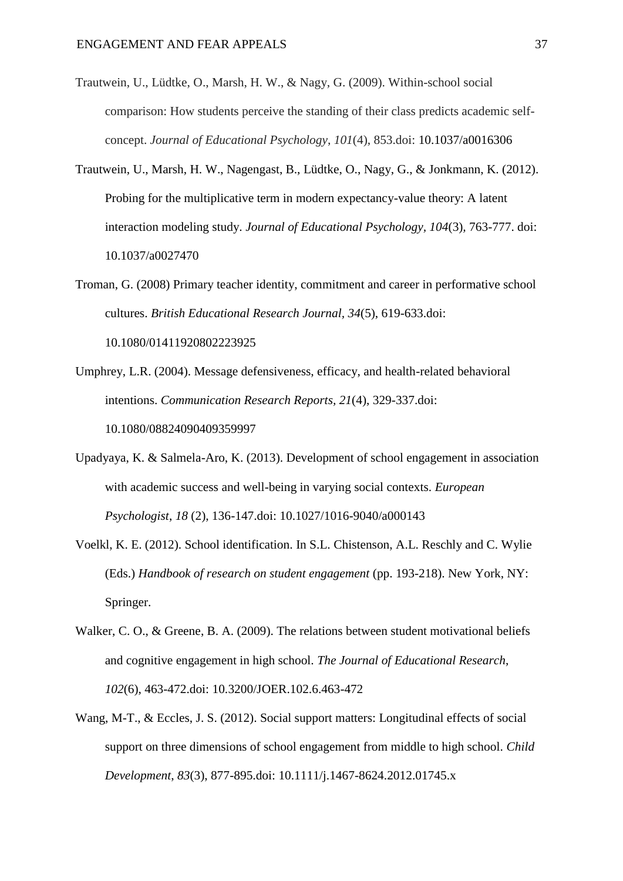- Trautwein, U., Lüdtke, O., Marsh, H. W., & Nagy, G. (2009). Within-school social comparison: How students perceive the standing of their class predicts academic selfconcept. *Journal of Educational Psychology*, *101*(4), 853.doi: 10.1037/a0016306
- Trautwein, U., Marsh, H. W., Nagengast, B., Lüdtke, O., Nagy, G., & Jonkmann, K. (2012). Probing for the multiplicative term in modern expectancy-value theory: A latent interaction modeling study. *Journal of Educational Psychology, 104*(3)*,* 763-777. doi: 10.1037/a0027470
- Troman, G. (2008) Primary teacher identity, commitment and career in performative school cultures. *British Educational Research Journal, 34*(5), 619-633.doi: 10.1080/01411920802223925
- Umphrey, L.R. (2004). Message defensiveness, efficacy, and health-related behavioral intentions. *Communication Research Reports, 21*(4), 329-337.doi: 10.1080/08824090409359997
- Upadyaya, K. & Salmela-Aro, K. (2013). Development of school engagement in association with academic success and well-being in varying social contexts. *European Psychologist*, *18* (2), 136-147.doi: 10.1027/1016-9040/a000143
- Voelkl, K. E. (2012). School identification. In S.L. Chistenson, A.L. Reschly and C. Wylie (Eds.) *Handbook of research on student engagement* (pp. 193-218). New York, NY: Springer.
- Walker, C. O., & Greene, B. A. (2009). The relations between student motivational beliefs and cognitive engagement in high school. *The Journal of Educational Research*, *102*(6), 463-472.doi: 10.3200/JOER.102.6.463-472
- Wang, M-T., & Eccles, J. S. (2012). Social support matters: Longitudinal effects of social support on three dimensions of school engagement from middle to high school. *Child Development*, *83*(3), 877-895.doi: 10.1111/j.1467-8624.2012.01745.x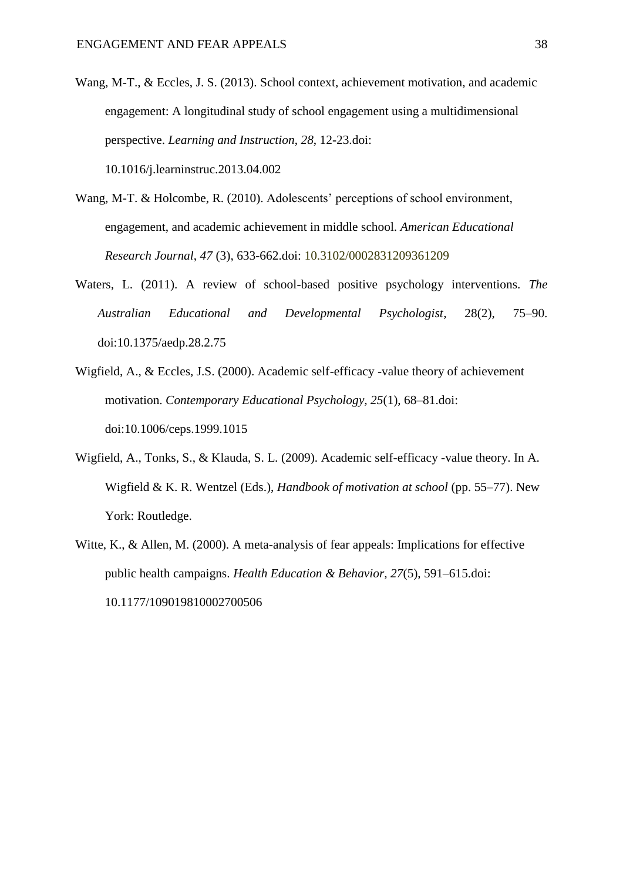- Wang, M-T., & Eccles, J. S. (2013). School context, achievement motivation, and academic engagement: A longitudinal study of school engagement using a multidimensional perspective. *Learning and Instruction*, *28*, 12-23.doi: 10.1016/j.learninstruc.2013.04.002
- Wang, M-T. & Holcombe, R. (2010). Adolescents' perceptions of school environment, engagement, and academic achievement in middle school. *American Educational Research Journal*, *47* (3), 633-662.doi: 10.3102/0002831209361209
- Waters, L. (2011). A review of school-based positive psychology interventions. *The Australian Educational and Developmental Psychologist*, 28(2), 75–90. doi:10.1375/aedp.28.2.75
- Wigfield, A., & Eccles, J.S. (2000). Academic self-efficacy -value theory of achievement motivation. *Contemporary Educational Psychology, 25*(1), 68–81.doi: doi:10.1006/ceps.1999.1015
- Wigfield, A., Tonks, S., & Klauda, S. L. (2009). Academic self-efficacy -value theory. In A. Wigfield & K. R. Wentzel (Eds.), *Handbook of motivation at school* (pp. 55–77). New York: Routledge.
- Witte, K., & Allen, M. (2000). A meta-analysis of fear appeals: Implications for effective public health campaigns. *Health Education & Behavior, 27*(5), 591–615.doi: 10.1177/109019810002700506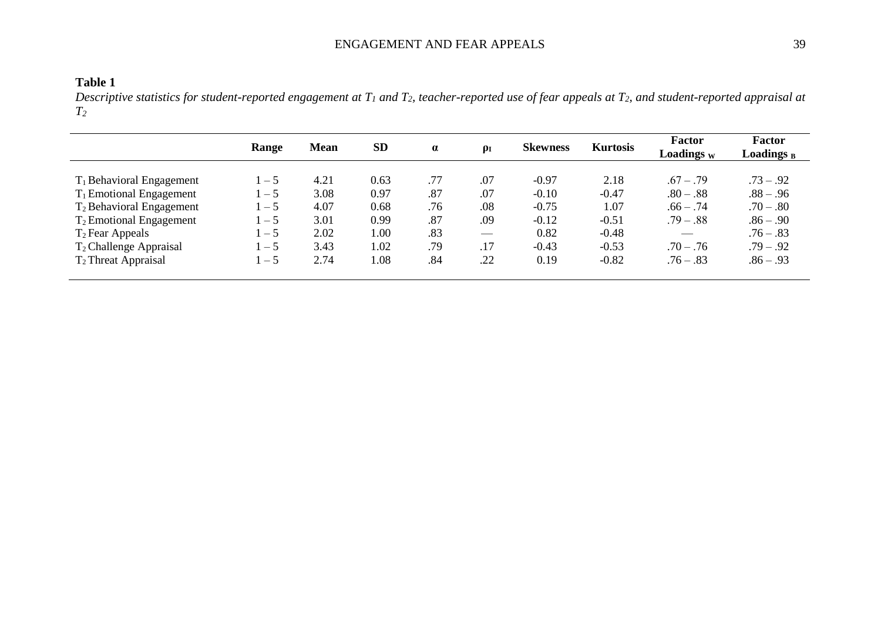# ENGAGEMENT AND FEAR APPEALS 39

*Descriptive statistics for student-reported engagement at T<sup>1</sup> and T2, teacher-reported use of fear appeals at T2, and student-reported appraisal at T2*

|                                      | Range   | <b>Mean</b> | <b>SD</b> | $\alpha$ | $\rho_I$ | <b>Skewness</b> | <b>Kurtosis</b> | <b>Factor</b><br><b>Loadings</b> w | <b>Factor</b><br>Loadings <sub>B</sub> |
|--------------------------------------|---------|-------------|-----------|----------|----------|-----------------|-----------------|------------------------------------|----------------------------------------|
| $T_1$ Behavioral Engagement          | $1 - 5$ | 4.21        | 0.63      | .77      | .07      | $-0.97$         | 2.18            | $67 - 79$                          | $.73 - .92$                            |
| $T_1$ Emotional Engagement           | $-5$    | 3.08        | 0.97      | .87      | .07      | $-0.10$         | $-0.47$         | $.80 - .88$                        | $.88 - .96$                            |
| T <sub>2</sub> Behavioral Engagement | $-5$    | 4.07        | 0.68      | .76      | .08      | $-0.75$         | 1.07            | $.66 - .74$                        | $.70 - .80$                            |
| $T_2$ Emotional Engagement           | $-5$    | 3.01        | 0.99      | .87      | .09      | $-0.12$         | $-0.51$         | $.79 - .88$                        | $.86 - .90$                            |
| $T_2$ Fear Appeals                   | $-5$    | 2.02        | 1.00      | .83      |          | 0.82            | $-0.48$         |                                    | $.76 - .83$                            |
| T <sub>2</sub> Challenge Appraisal   | $-5$    | 3.43        | 1.02      | .79      | .17      | $-0.43$         | $-0.53$         | $.70 - .76$                        | $.79 - .92$                            |
| $T_2$ Threat Appraisal               | $-5$    | 2.74        | 1.08      | .84      | .22      | 0.19            | $-0.82$         | $.76 - .83$                        | $.86 - .93$                            |
|                                      |         |             |           |          |          |                 |                 |                                    |                                        |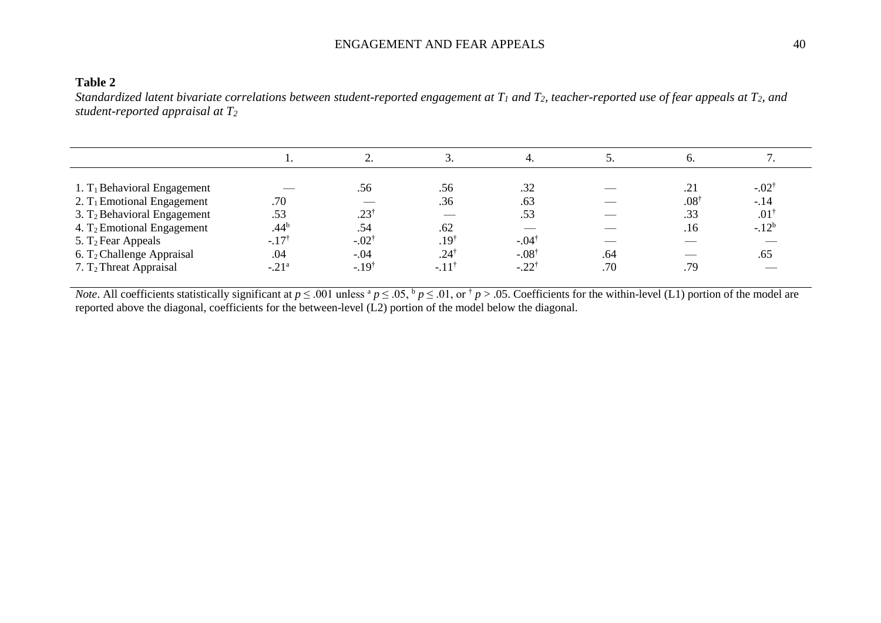# ENGAGEMENT AND FEAR APPEALS 40

### **Table 2**

*Standardized latent bivariate correlations between student-reported engagement at*  $T_1$  *and*  $T_2$ *, teacher-reported use of fear appeals at*  $T_2$ *, and student-reported appraisal at T<sup>2</sup>*

|                                         |                  |                  | ິ.               | 4.                       | ຸ   |                 |                  |
|-----------------------------------------|------------------|------------------|------------------|--------------------------|-----|-----------------|------------------|
|                                         |                  |                  |                  |                          |     |                 |                  |
| 1. T <sub>1</sub> Behavioral Engagement |                  | .56              | .56              | .32                      |     | .21             | $-.02^{\dagger}$ |
| 2. $T_1$ Emotional Engagement           | .70              |                  | .36              | .63                      |     | $.08^{\dagger}$ | $-.14$           |
| 3. $T_2$ Behavioral Engagement          | .53              | $.23^{\dagger}$  |                  | .53                      |     | .33             | $.01^{\dagger}$  |
| 4. $T_2$ Emotional Engagement           | .44 <sup>b</sup> | .54              | .62              | $\overline{\phantom{a}}$ |     | .16             | $-12^{b}$        |
| 5. $T_2$ Fear Appeals                   | $-.17^{\dagger}$ | $-.02^{\dagger}$ | $.19^{\dagger}$  | $-.04^{\dagger}$         |     |                 |                  |
| 6. $T_2$ Challenge Appraisal            | .04              | $-.04$           | $.24^{\dagger}$  | $-.08^{\dagger}$         | .64 | __              | .65              |
| $7. T2$ Threat Appraisal                | $-.21a$          | $-.19^{\dagger}$ | $-.11^{\dagger}$ | $-.22^{\dagger}$         | .70 | .79             |                  |

*Note*. All coefficients statistically significant at  $p \le 0.01$  unless  ${}^a p \le 0.05$ ,  $b p \le 0.01$ , or  ${}^{\dagger} p > 0.05$ . Coefficients for the within-level (L1) portion of the model are reported above the diagonal, coefficients for the between-level (L2) portion of the model below the diagonal.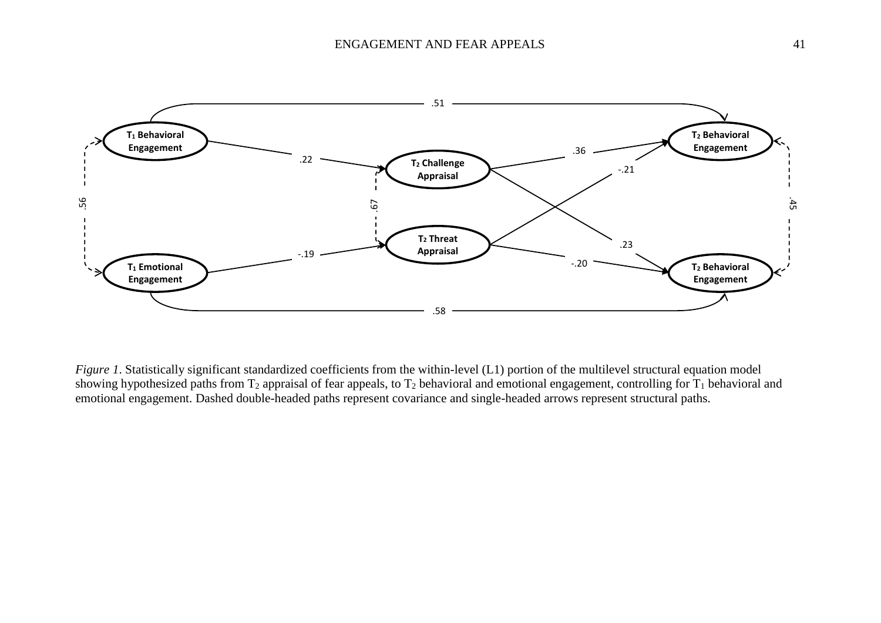

*Figure 1*. Statistically significant standardized coefficients from the within-level (L1) portion of the multilevel structural equation model showing hypothesized paths from  $T_2$  appraisal of fear appeals, to  $T_2$  behavioral and emotional engagement, controlling for  $T_1$  behavioral and emotional engagement. Dashed double-headed paths represent covariance and single-headed arrows represent structural paths.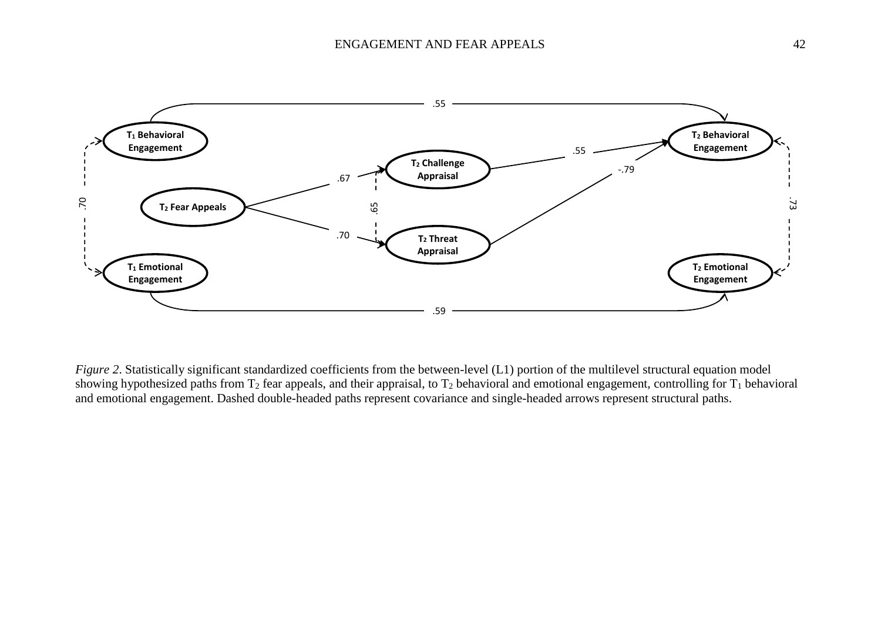

*Figure 2*. Statistically significant standardized coefficients from the between-level (L1) portion of the multilevel structural equation model showing hypothesized paths from  $T_2$  fear appeals, and their appraisal, to  $T_2$  behavioral and emotional engagement, controlling for  $T_1$  behavioral and emotional engagement. Dashed double-headed paths represent covariance and single-headed arrows represent structural paths.